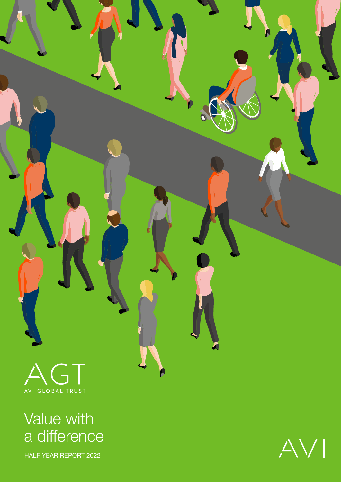

Value with a difference

HALF YEAR REPORT 2022

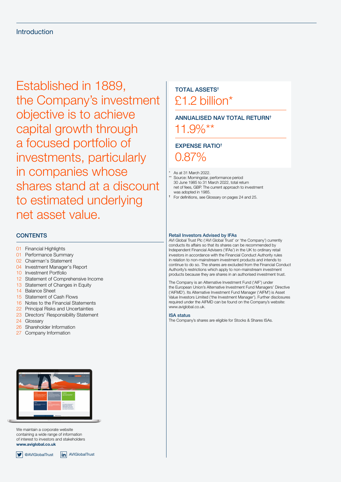Established in 1889, the Company's investment objective is to achieve capital growth through a focused portfolio of investments, particularly in companies whose shares stand at a discount to estimated underlying net asset value.

# **CONTENTS**

- [01](#page-2-0) Financial Highlights
- [01](#page-2-0) Performance Summary
- [02](#page-3-0) Chairman's Statement
- [04](#page-5-0) Investment Manager's Report
- [10](#page-11-0) Investment Portfolio
- [12](#page-13-0) Statement of Comprehensive Income
- [13](#page-14-0) Statement of Changes in Equity
- [14](#page-15-0) Balance Sheet
- [15](#page-16-0) Statement of Cash Flows
- [16](#page-17-0) Notes to the Financial Statements
- [22](#page-23-0) Principal Risks and Uncertainties
- [23](#page-24-0) Directors' Responsibility Statement
- [24](#page-25-0) Glossary
- [26](#page-27-0) Shareholder Information
- [27](#page-28-0) Company Information



We maintain a corporate website containing a wide range of information of interest to investors and stakeholders **[www.aviglobal.co.uk](http://www.aviglobal.co.uk)**

# **9** @AVIGlobalTrust **in** AVIGlobalTrust

# TOTAL ASSETS† £1.2 billion\*

# ANNUALISED NAV TOTAL RETURN†

11.9%\*\*

# EXPENSE RATIO†

0.87%

\* As at 31 March 2022. \*\* Source: Morningstar, performance period 30 June 1985 to 31 March 2022, total return net of fees, GBP. The current approach to investment was adopted in 1985.

† For definitions, see Glossary on pages [24](#page-25-0) and [25.](#page-26-0)

# Retail Investors Advised by IFAs

AVI Global Trust Plc ('AVI Global Trust' or 'the Company') currently conducts its affairs so that its shares can be recommended by Independent Financial Advisers ('IFAs') in the UK to ordinary retail investors in accordance with the Financial Conduct Authority rules in relation to non-mainstream investment products and intends to continue to do so. The shares are excluded from the Financial Conduct Authority's restrictions which apply to non-mainstream investment products because they are shares in an authorised investment trust.

The Company is an Alternative Investment Fund ('AIF') under the European Union's Alternative Investment Fund Managers' Directive ('AIFMD'). Its Alternative Investment Fund Manager ('AIFM') is Asset Value Investors Limited ('the Investment Manager'). Further disclosures required under the AIFMD can be found on the Company's website: [www.aviglobal.co.uk.](http://www.aviglobal.co.uk)

ISA status

The Company's shares are eligible for Stocks & Shares ISAs.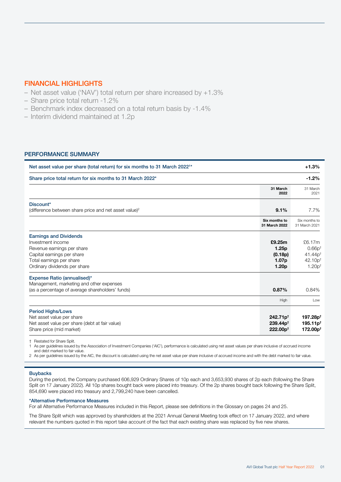# <span id="page-2-0"></span>FINANCIAL HIGHLIGHTS

- Net asset value ('NAV') total return per share increased by +1.3%
- Share price total return -1.2%
- Benchmark index decreased on a total return basis by -1.4%
- Interim dividend maintained at 1.2p

# PERFORMANCE SUMMARY

| Net asset value per share (total return) for six months to 31 March 2022 <sup>1*</sup>                                                                                     |                                                                      | $+1.3%$                                                                       |
|----------------------------------------------------------------------------------------------------------------------------------------------------------------------------|----------------------------------------------------------------------|-------------------------------------------------------------------------------|
| Share price total return for six months to 31 March 2022*                                                                                                                  |                                                                      | $-1.2%$                                                                       |
|                                                                                                                                                                            | 31 March<br>2022                                                     | 31 March<br>2021                                                              |
| Discount*<br>(difference between share price and net asset value) <sup>2</sup>                                                                                             | 9.1%                                                                 | 7.7%                                                                          |
|                                                                                                                                                                            | Six months to<br>31 March 2022                                       | Six months to<br>31 March 2021                                                |
| <b>Earnings and Dividends</b><br>Investment income<br>Revenue earnings per share<br>Capital earnings per share<br>Total earnings per share<br>Ordinary dividends per share | £9.25m<br>1.25p<br>(0.18p)<br>1.07 <sub>p</sub><br>1.20 <sub>p</sub> | £6.17m<br>$0.66p^{+}$<br>$41.44p$ <sup>+</sup><br>$42.10p^{+}$<br>$1.20p^{+}$ |
| Expense Ratio (annualised)*<br>Management, marketing and other expenses<br>(as a percentage of average shareholders' funds)                                                | 0.87%                                                                | 0.84%                                                                         |
| <b>Period Highs/Lows</b><br>Net asset value per share<br>Net asset value per share (debt at fair value)                                                                    | High<br>$242.71p^{+}$<br>$239.44p^{+}$                               | Low<br>197.28p <sup>t</sup><br>$195.11p^{+}$                                  |
| Share price (mid market)                                                                                                                                                   | $222.00p^{+}$                                                        | 172.00p <sup>t</sup>                                                          |

† Restated for Share Split.

1 As per guidelines issued by the Association of Investment Companies ('AIC'), performance is calculated using net asset values per share inclusive of accrued income and debt marked to fair value.

2 As per quidelines issued by the AIC, the discount is calculated using the net asset value per share inclusive of accrued income and with the debt marked to fair value.

# **Buybacks**

During the period, the Company purchased 606,929 Ordinary Shares of 10p each and 3,653,930 shares of 2p each (following the Share Split on 17 January 2022). All 10p shares bought back were placed into treasury. Of the 2p shares bought back following the Share Split, 854,690 were placed into treasury and 2,799,240 have been cancelled.

#### \*Alternative Performance Measures

For all Alternative Performance Measures included in this Report, please see definitions in the Glossary on pages [24](#page-25-0) and [25](#page-26-0).

The Share Split which was approved by shareholders at the 2021 Annual General Meeting took effect on 17 January 2022, and where relevant the numbers quoted in this report take account of the fact that each existing share was replaced by five new shares.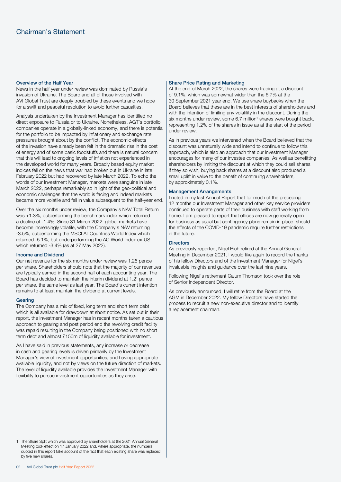# <span id="page-3-0"></span>Chairman's Statement

## Overview of the Half Year

News in the half year under review was dominated by Russia's invasion of Ukraine. The Board and all of those involved with AVI Global Trust are deeply troubled by these events and we hope for a swift and peaceful resolution to avoid further casualties.

Analysis undertaken by the Investment Manager has identified no direct exposure to Russia or to Ukraine. Nonetheless, AGT's portfolio companies operate in a globally-linked economy, and there is potential for the portfolio to be impacted by inflationary and exchange rate pressures brought about by the conflict. The economic effects of the invasion have already been felt in the dramatic rise in the cost of energy and of some basic foodstuffs and there is natural concern that this will lead to ongoing levels of inflation not experienced in the developed world for many years. Broadly based equity market indices fell on the news that war had broken out in Ukraine in late February 2022 but had recovered by late March 2022. To echo the words of our Investment Manager, markets were sanguine in late March 2022, perhaps remarkably so in light of the geo-political and economic challenges that the world is facing and indeed markets became more volatile and fell in value subsequent to the half-year end.

Over the six months under review, the Company's NAV Total Return was +1.3%, outperforming the benchmark index which returned a decline of -1.4%. Since 31 March 2022, global markets have become increasingly volatile, with the Company's NAV returning -3.5%, outperforming the MSCI All Countries World Index which returned -5.1%, but underperforming the AC World Index ex-US which returned -3.4% (as at 27 May 2022).

#### Income and Dividend

Our net revenue for the six months under review was 1.25 pence per share. Shareholders should note that the majority of our revenues are typically earned in the second half of each accounting year. The Board has decided to maintain the interim dividend at 1.21 pence per share, the same level as last year. The Board's current intention remains to at least maintain the dividend at current levels.

#### Gearing

The Company has a mix of fixed, long term and short term debt which is all available for drawdown at short notice. As set out in their report, the Investment Manager has in recent months taken a cautious approach to gearing and post period end the revolving credit facility was repaid resulting in the Company being positioned with no short term debt and almost £150m of liquidity available for investment.

As I have said in previous statements, any increase or decrease in cash and gearing levels is driven primarily by the Investment Manager's view of investment opportunities, and having appropriate available liquidity, and not by views on the future direction of markets. The level of liquidity available provides the Investment Manager with flexibility to pursue investment opportunities as they arise.

#### 1 The Share Split which was approved by shareholders at the 2021 Annual General Meeting took effect on 17 January 2022 and, where appropriate, the numbers quoted in this report take account of the fact that each existing share was replaced by five new shares.

#### Share Price Rating and Marketing

At the end of March 2022, the shares were trading at a discount of 9.1%, which was somewhat wider than the 6.7% at the 30 September 2021 year end. We use share buybacks when the Board believes that these are in the best interests of shareholders and with the intention of limiting any volatility in the discount. During the six months under review, some 6.7 million<sup>1</sup> shares were bought back, representing 1.2% of the shares in issue as at the start of the period under review.

As in previous years we intervened when the Board believed that the discount was unnaturally wide and intend to continue to follow this approach, which is also an approach that our Investment Manager encourages for many of our investee companies. As well as benefitting shareholders by limiting the discount at which they could sell shares if they so wish, buying back shares at a discount also produced a small uplift in value to the benefit of continuing shareholders, by approximately 0.1%.

## Management Arrangements

I noted in my last Annual Report that for much of the preceding 12 months our Investment Manager and other key service providers continued to operate parts of their business with staff working from home. I am pleased to report that offices are now generally open for business as usual but contingency plans remain in place, should the effects of the COVID-19 pandemic require further restrictions in the future.

#### **Directors**

As previously reported, Nigel Rich retired at the Annual General Meeting in December 2021. I would like again to record the thanks of his fellow Directors and of the Investment Manager for Nigel's invaluable insights and guidance over the last nine years.

Following Nigel's retirement Calum Thomson took over the role of Senior Independent Director.

As previously announced, I will retire from the Board at the AGM in December 2022. My fellow Directors have started the process to recruit a new non-executive director and to identify a replacement chairman.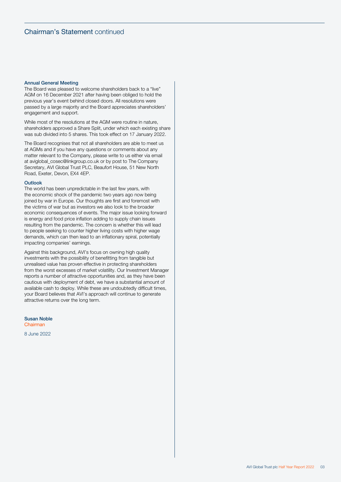### Annual General Meeting

The Board was pleased to welcome shareholders back to a "live" AGM on 16 December 2021 after having been obliged to hold the previous year's event behind closed doors. All resolutions were passed by a large majority and the Board appreciates shareholders' engagement and support.

While most of the resolutions at the AGM were routine in nature, shareholders approved a Share Split, under which each existing share was sub divided into 5 shares. This took effect on 17 January 2022.

The Board recognises that not all shareholders are able to meet us at AGMs and if you have any questions or comments about any matter relevant to the Company, please write to us either via email at [aviglobal\\_cosec@linkgroup.co.uk](mailto:aviglobal_cosec@linkgroup.co.uk) or by post to The Company Secretary, AVI Global Trust PLC, Beaufort House, 51 New North Road, Exeter, Devon, EX4 4EP.

### Outlook

The world has been unpredictable in the last few years, with the economic shock of the pandemic two years ago now being joined by war in Europe. Our thoughts are first and foremost with the victims of war but as investors we also look to the broader economic consequences of events. The major issue looking forward is energy and food price inflation adding to supply chain issues resulting from the pandemic. The concern is whether this will lead to people seeking to counter higher living costs with higher wage demands, which can then lead to an inflationary spiral, potentially impacting companies' earnings.

Against this background, AVI's focus on owning high quality investments with the possibility of benefitting from tangible but unrealised value has proven effective in protecting shareholders from the worst excesses of market volatility. Our Investment Manager reports a number of attractive opportunities and, as they have been cautious with deployment of debt, we have a substantial amount of available cash to deploy. While these are undoubtedly difficult times, your Board believes that AVI's approach will continue to generate attractive returns over the long term.

Susan Noble Chairman

8 June 2022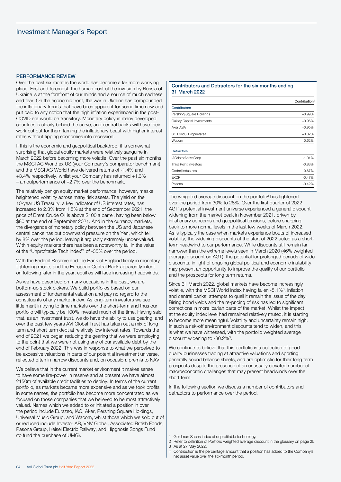### <span id="page-5-0"></span>PERFORMANCE REVIEW

Over the past six months the world has become a far more worrying place. First and foremost, the human cost of the invasion by Russia of Ukraine is at the forefront of our minds and a source of much sadness and fear. On the economic front, the war in Ukraine has compounded the inflationary trends that have been apparent for some time now and put paid to any notion that the high inflation experienced in the post-COVID era would be transitory. Monetary policy in many developed countries is clearly behind the curve, and central banks will have their work cut out for them taming the inflationary beast with higher interest rates without tipping economies into recession.

If this is the economic and geopolitical backdrop, it is somewhat surprising that global equity markets were relatively sanguine in March 2022 before becoming more volatile. Over the past six months, the MSCI AC World ex US (your Company's comparator benchmark) and the MSCI AC World have delivered returns of -1.4% and +3.4% respectively, whilst your Company has returned +1.3% – an outperformance of +2.7% over the benchmark.

The relatively benign equity market performance, however, masks heightened volatility across many risk assets. The yield on the 10-year US Treasury, a key indicator of US interest rates, has increased to 2.3% from 1.5% at the end of September 2021; the price of Brent Crude Oil is above \$100 a barrel, having been below \$80 at the end of September 2021. And in the currency markets, the divergence of monetary policy between the US and Japanese central banks has put downward pressure on the Yen, which fell by 8% over the period, leaving it arguably extremely under-valued. Within equity markets there has been a noteworthy fall in the value of the "Unprofitable Tech Index"1 of -35% over the period.

With the Federal Reserve and the Bank of England firmly in monetary tightening mode, and the European Central Bank apparently intent on following later in the year, equities will face increasing headwinds.

As we have described on many occasions in the past, we are bottom-up stock pickers. We build portfolios based on our assessment of fundamental valuation and pay no regard to the constituents of any market index. As long-term investors we see little merit in trying to time markets over the short-term and thus our portfolio will typically be 100% invested much of the time. Having said that, as an investment trust, we do have the ability to use gearing, and over the past few years AVI Global Trust has taken out a mix of long term and short term debt at relatively low interest rates. Towards the end of 2021 we began reducing the gearing that we were employing to the point that we were not using any of our available debt by the end of February 2022. This was in response to what we perceived to be excessive valuations in parts of our potential investment universe, reflected often in narrow discounts and, on occasion, premia to NAV.

We believe that in the current market environment it makes sense to have some fire-power in reserve and at present we have almost £150m of available credit facilities to deploy. In terms of the current portfolio, as markets became more expensive and as we took profits in some names, the portfolio has become more concentrated as we focused on those companies that we believed to be most attractively valued. Names which we added to or initiated a position in over the period include Eurazeo, IAC, Aker, Pershing Square Holdings, Universal Music Group, and Wacom, whilst those which we sold out of or reduced include Investor AB, VNV Global, Associated British Foods, Pasona Group, Keisei Electric Railway, and Hipgnosis Songs Fund (to fund the purchase of UMG).

## Contributors and Detractors for the six months ending 31 March 2022

|                              | Contribution <sup>1</sup> |
|------------------------------|---------------------------|
| Contributors                 |                           |
| Pershing Square Holdings     | $+0.99%$                  |
| Oakley Capital Investments   | $+0.96%$                  |
| Aker ASA                     | $+0.95%$                  |
| SC Fondul Proprietatea       | $+0.82%$                  |
| Wacom                        | $+0.62%$                  |
| <b>Detractors</b>            |                           |
| IAC/InterActiveCorp          | $-1.01%$                  |
| <b>Third Point Investors</b> | $-0.83%$                  |
| Godrej Industries            | $-0.67%$                  |
| <b>EXOR</b>                  | $-0.47%$                  |
| Pasona                       | $-0.42%$                  |

The weighted average discount on the portfolio<sup>2</sup> has tightened over the period from 30% to 28%. Over the first quarter of 2022, AGT's potential investment universe experienced a general discount widening from the market peak in November 2021, driven by inflationary concerns and geopolitical tensions, before snapping back to more normal levels in the last few weeks of March 2022. As is typically the case when markets experience bouts of increased volatility, the widening discounts at the start of 2022 acted as a shortterm headwind to our performance. While discounts still remain far narrower than the extreme levels seen in March 2020 (46% weighted average discount on AGT), the potential for prolonged periods of wide discounts, in light of ongoing global political and economic instability, may present an opportunity to improve the quality of our portfolio and the prospects for long term returns.

Since 31 March 2022, global markets have become increasingly volatile, with the MSCI World Index having fallen -5.1%3. Inflation and central banks' attempts to quell it remain the issue of the day. Rising bond yields and the re-pricing of risk has led to significant corrections in more Icarian parts of the market. Whilst the impact at the equity index level had remained relatively muted, it is starting to become more meaningful. Volatility and uncertainty remain high. In such a risk-off environment discounts tend to widen, and this is what we have witnessed, with the portfolio weighted average discount widening to -30.2%<sup>3</sup>.

We continue to believe that this portfolio is a collection of good quality businesses trading at attractive valuations and sporting generally sound balance sheets, and are optimistic for their long term prospects despite the presence of an unusually elevated number of macroeconomic challenges that may present headwinds over the short term.

In the following section we discuss a number of contributors and detractors to performance over the period.

- 2 Refer to definition of Portfolio weighted average discount in the glossary on page [25.](#page-26-0) 3 As at 27 May 2022.
- 
- † Contribution is the percentage amount that a position has added to the Company's net asset value over the six-month period.

<sup>1</sup> Goldman Sachs index of unprofitable technology.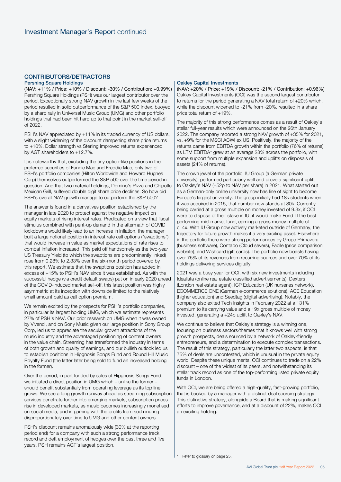# CONTRIBUTORS/DETRACTORS

## Pershing Square Holdings

(NAV: +11% / Price: +10% / Discount: -30% / Contribution: +0.99%) Pershing Square Holdings (PSH) was our largest contributor over the period. Exceptionally strong NAV growth in the last few weeks of the period resulted in solid outperformance of the S&P 500 Index, buoyed by a sharp rally in Universal Music Group (UMG) and other portfolio holdings that had been hit hard up to that point in the market sell-off of 2022.

PSH's NAV appreciated by +11% in its traded currency of US dollars, with a slight widening of the discount dampening share price returns to +10%. Dollar strength vs Sterling improved returns experienced by AGT shareholders to +12.7%.

It is noteworthy that, excluding the tiny option-like positions in the preferred securities of Fannie Mae and Freddie Mac, only two of PSH's portfolio companies (Hilton Worldwide and Howard Hughes Corp) themselves outperformed the S&P 500 over the time period in question. And that two material holdings, Domino's Pizza and Chipotle Mexican Grill, suffered double digit share price declines. So how did PSH's overall NAV growth manage to outperform the S&P 500?

The answer is found in a derivatives position established by the manager in late 2020 to protect against the negative impact on equity markets of rising interest rates. Predicated on a view that fiscal stimulus combined with pent-up demand in the aftermath of COVID lockdowns would likely lead to an increase in inflation, the manager built a large notional position in interest rate call options ("swaptions") that would increase in value as market expectations of rate rises to combat inflation increased. This paid off handsomely as the two-year US Treasury Yield (to which the swaptions are predominantly linked) rose from 0.28% to 2.33% over the six-month period covered by this report. We estimate that the swaptions position has added in excess of +15% to PSH's NAV since it was established. As with the successful hedge (via credit default swaps) put on in early 2020 ahead of the COVID-induced market sell-off, this latest position was highly asymmetric at its inception with downside limited to the relatively small amount paid as call option premium.

We remain excited by the prospects for PSH's portfolio companies, in particular its largest holding UMG, which we estimate represents 27% of PSH's NAV. Our prior research on UMG when it was owned by Vivendi, and on Sony Music given our large position in Sony Group Corp, led us to appreciate the secular growth attractions of the music industry and the advantaged positioning of content owners in the value chain. Streaming has transformed the industry in terms of both growth and quality of earnings, and our bullish outlook led us to establish positions in Hipgnosis Songs Fund and Round Hill Music Royalty Fund (the latter later being sold to fund an increased holding in the former).

Over the period, in part funded by sales of Hipgnosis Songs Fund, we initiated a direct position in UMG which – unlike the former – should benefit substantially from operating leverage as its top line grows. We see a long growth runway ahead as streaming subscription services penetrate further into emerging markets, subscription prices rise in developed markets, as music becomes increasingly monetised on social media, and in gaming with the profits from such inuring disproportionately over time to UMG and other content owners.

PSH's discount remains anomalously wide (30% at the reporting period end) for a company with such a strong performance track record and deft employment of hedges over the past three and five years. PSH remains AGT's largest position.

## Oakley Capital Investments

(NAV: +20% / Price: +19% / Discount: -21% / Contribution: +0.96%) Oakley Capital Investments (OCI) was the second largest contributor to returns for the period generating a NAV total return of +20% which, while the discount widened to -21% from -20%, resulted in a share price total return of +19%.

The majority of this strong performance comes as a result of Oakley's stellar full-year results which were announced on the 26th January 2022. The company reported a strong NAV growth of +35% for 2021, vs. +9% for the MSCI ACWI ex US. Positively, the majority of the returns came from EBITDA growth within the portfolio (76% of returns) as LTM EBITDA\* grew at an average 28% across the portfolio, with some support from multiple expansion and uplifts on disposals of assets (24% of returns).

The crown jewel of the portfolio, IU Group (a German private university), performed particularly well and drove a significant uplift to Oakley's NAV (+52p to NAV per share) in 2021. What started out as a German-only online university now has line of sight to become Europe's largest university. The group initially had 18k students when it was acquired in 2015, that number now stands at 80k. Currently being carried at a gross multiple on money invested of 9.3x, if OCI were to dispose of their stake in IU, it would make Fund III the best performing mid-market fund, earning a gross money multiple of c. 4x. With IU Group now actively marketed outside of Germany, the trajectory for future growth makes it a very exciting asset. Elsewhere in the portfolio there were strong performances by Grupo Primavera (business software), Contabo (Cloud severs), Facile (price comparison website), and Wishcard (gift cards). The portfolio now boasts having over 75% of its revenues from recurring sources and over 70% of its holdings delivering services digitally.

2021 was a busy year for OCI, with six new investments including Idealista (online real estate classified advertisements), Dexters (London real estate agent), ICP Education (UK nurseries network), ECOMMERCE ONE (German e-commerce solutions), ACE Education (higher education) and Seedtag (digital advertising). Notably, the company also exited Tech Insights in February 2022 at a 131% premium to its carrying value and a 19x gross multiple of money invested, generating a +24p uplift to Oakley's NAV.

We continue to believe that Oakley's strategy is a winning one, focusing on business sectors/themes that it knows well with strong growth prospects, deals sourced by a network of Oakley-friendly entrepreneurs, and a determination to execute complex transactions. The result of this strategy, particularly the latter two aspects, is that 75% of deals are uncontested, which is unusual in the private equity world. Despite these unique merits, OCI continues to trade on a 22% discount – one of the widest of its peers, and notwithstanding its stellar track record as one of the top-performing listed private equity funds in London.

With OCI, we are being offered a high-quality, fast-growing portfolio, that is backed by a manager with a distinct deal sourcing strategy. This distinctive strategy, alongside a Board that is making significant efforts to improve governance, and at a discount of 22%, makes OCI an exciting holding.

\* Refer to glossary on page [25.](#page-26-0)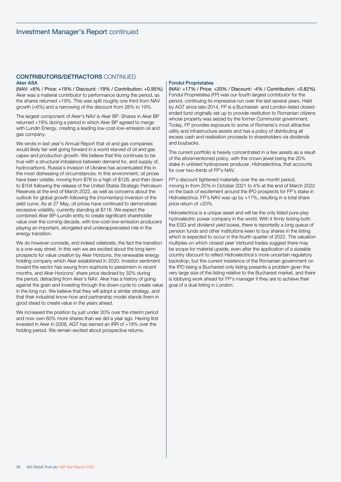# CONTRIBUTORS/DETRACTORS CONTINUED Aker ASA

(NAV: +6% / Price: +19% / Discount: -19% / Contribution: +0.95%) Aker was a material contributor to performance during the period, as the shares returned +19%. This was split roughly one third from NAV growth (+6%) and a narrowing of the discount from 28% to 19%.

The largest component of Aker's NAV is Aker BP. Shares in Aker BP returned +19% during a period in which Aker BP agreed to merge with Lundin Energy, creating a leading low-cost-low-emission oil and gas company.

We wrote in last year's Annual Report that oil and gas companies would likely fair well going forward in a world starved of oil and gas capex and production growth. We believe that this continues to be true with a structural imbalance between demand for, and supply of, hydrocarbons. Russia's invasion of Ukraine has accentuated this in the most distressing of circumstances. In this environment, oil prices have been volatile, moving from \$78 to a high of \$128, and then down to \$104 following the release of the United States Strategic Petroleum Reserves at the end of March 2022, as well as concerns about the outlook for global growth following the (momentary) inversion of the yield curve. As at 27 May, oil prices have continued to demonstrate excessive volatility, currently standing at \$116. We expect the combined Aker BP-Lundin entity to create significant shareholder value over the coming decade, with low-cost-low-emission producers playing an important, elongated and underappreciated role in the energy transition.

We do however concede, and indeed celebrate, the fact the transition is a one-way street. In this vein we are excited about the long-term prospects for value creation by Aker Horizons, the renewable energy holding company which Aker established in 2020. Investor sentiment toward the sector has swung from euphoria to pessimism in recent months, and Aker Horizons' share price declined by 32% during the period, detracting from Aker's NAV. Aker has a history of going against the grain and investing through the down-cycle to create value in the long run. We believe that they will adopt a similar strategy, and that their industrial know-how and partnership model stands them in good stead to create value in the years ahead.

We increased the position by just under 20% over the interim period and now own 60% more shares than we did a year ago. Having first invested in Aker in 2008, AGT has earned an IRR of +19% over the holding period. We remain excited about prospective returns.

# Fondul Proprietatea

(NAV: +17% / Price: +20% / Discount: -4% / Contribution: +0.82%) Fondul Proprietatea (FP) was our fourth largest contributor for the period, continuing its impressive run over the last several years. Held by AGT since late-2014, FP is a Bucharest- and London-listed closedended fund originally set up to provide restitution to Romanian citizens whose property was seized by the former Communist government. Today, FP provides exposure to some of Romania's most attractive utility and infrastructure assets and has a policy of distributing all excess cash and realisation proceeds to shareholders via dividends and buybacks.

The current portfolio is heavily concentrated in a few assets as a result of the aforementioned policy, with the crown jewel being the 20% stake in unlisted hydropower producer, Hidroelectrica, that accounts for over two-thirds of FP's NAV.

FP's discount tightened materially over the six-month period, moving in from 20% in October 2021 to 4% at the end of March 2022 on the back of excitement around the IPO prospects for FP's stake in Hidroelectrica. FP's NAV was up by +17%, resulting in a total share price return of +20%.

Hidroelectrica is a unique asset and will be the only listed pure-play hydroelectric power company in the world. With it firmly ticking both the ESG and dividend yield boxes, there is reportedly a long queue of pension funds and other institutions keen to buy shares in the listing which is expected to occur in the fourth quarter of 2022. The valuation multiples on which closest peer Verbund trades suggest there may be scope for material upside, even after the application of a sizeable country discount to reflect Hidroelectrica's more uncertain regulatory backdrop, but the current insistence of the Romanian government on the IPO being a Bucharest-only listing presents a problem given the very large size of the listing relative to the Bucharest market, and there is lobbying work ahead for FP's manager if they are to achieve their goal of a dual listing in London.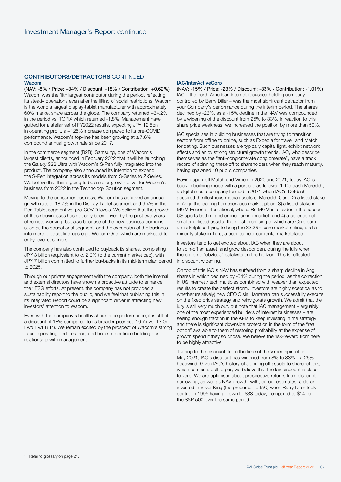# CONTRIBUTORS/DETRACTORS CONTINUED Wacom

(NAV: -8% / Price: +34% / Discount: -18% / Contribution: +0.62%) Wacom was the fifth largest contributor during the period, reflecting its steady operations even after the lifting of social restrictions. Wacom is the world's largest display-tablet manufacturer with approximately 60% market share across the globe. The company returned +34.2% in the period vs. TOPIX which returned -1.8%. Management have guided for a stellar set of FY2022 results, expecting JPY 12.5bn in operating profit, a +125% increase compared to its pre-COVID performance. Wacom's top-line has been growing at a 7.6% compound annual growth rate since 2017.

In the commerce segment (B2B), Samsung, one of Wacom's largest clients, announced in February 2022 that it will be launching the Galaxy S22 Ultra with Wacom's S-Pen fully integrated into the product. The company also announced its intention to expand the S-Pen integration across its models from S-Series to Z-Series. We believe that this is going to be a major growth driver for Wacom's business from 2022 in the Technology Solution segment.

Moving to the consumer business, Wacom has achieved an annual growth rate of 18.7% in the Display Tablet segment and 9.4% in the Pen Tablet segment vs. pre-COVID levels. We believe that the growth of these businesses has not only been driven by the past two years of remote working, but also because of the new business domains, such as the educational segment, and the expansion of the business into more product line-ups e.g., Wacom One, which are marketed to entry-level designers.

The company has also continued to buyback its shares, completing JPY 3 billion (equivalent to c. 2.0% to the current market cap), with JPY 7 billion committed to further buybacks in its mid-term plan period to 2025.

Through our private engagement with the company, both the internal and external directors have shown a proactive attitude to enhance their ESG efforts. At present, the company has not provided a sustainability report to the public, and we feel that publishing this in its Integrated Report could be a significant driver in attracting new investors' attention to Wacom.

Even with the company's healthy share price performance, it is still at a discount of 18% compared to its broader peer set (10.7x vs. 13.0x Fwd EV/EBIT\*). We remain excited by the prospect of Wacom's strong future operating performance, and hope to continue building our relationship with management.

# IAC/InterActiveCorp

(NAV: -15% / Price: -23% / Discount: -33% / Contribution: -1.01%) IAC – the north American internet-focussed holding company controlled by Barry Diller – was the most significant detractor from your Company's performance during the interim period. The shares declined by -23%, as a -15% decline in the NAV was compounded by a widening of the discount from 25% to 33%. In reaction to this share price weakness, we increased the position by more than 50%.

IAC specialises in building businesses that are trying to transition sectors from offline to online, such as Expedia for travel, and Match for dating. Such businesses are typically capital light, exhibit network effects and enjoy strong structural growth trends. IAC, who describe themselves as the "anti-conglomerate conglomerate", have a track record of spinning these off to shareholders when they reach maturity, having spawned 10 public companies.

Having spun-off Match and Vimeo in 2020 and 2021, today IAC is back in building mode with a portfolio as follows: 1) Dotdash Meredith, a digital media company formed in 2021 when IAC's Dotdash acquired the illustrious media assets of Meredith Corp; 2) a listed stake in Angi, the leading homeservices market place; 3) a listed stake in MGM Resorts International, whose BetMGM is a leader in the nascent US sports betting and online gaming market; and 4) a collection of smaller unlisted assets, the most promising of which are [Care.com,](http://Care.com) a marketplace trying to bring the \$300bn care market online, and a minority stake in Turo, a peer-to-peer car rental marketplace.

Investors tend to get excited about IAC when they are about to spin-off an asset, and grow despondent during the lulls when there are no "obvious" catalysts on the horizon. This is reflected in discount widening.

On top of this IAC's NAV has suffered from a sharp decline in Angi, shares in which declined by -54% during the period, as the correction in US internet / tech multiples combined with weaker than expected results to create the perfect storm. Investors are highly sceptical as to whether (relatively) new CEO Oisin Hanrahan can successfully execute on the fixed price strategy and reinvigorate growth. We admit that the jury is still very much out, but note that IAC management – arguably one of the most experienced builders of internet businesses – are seeing enough traction in the KPIs to keep investing in the strategy, and there is significant downside protection in the form of the "real option" available to them of restoring profitability at the expense of growth spend if they so chose. We believe the risk-reward from here to be highly attractive.

Turning to the discount, from the time of the Vimeo spin-off in May 2021, IAC's discount has widened from 8% to 33% – a 26% headwind. Given IAC's history of spinning off assets to shareholders, which acts as a pull to par, we believe that the fair discount is close to zero. We are optimistic about prospective returns from discount narrowing, as well as NAV growth, with, on our estimates, a dollar invested in Silver King (the precursor to IAC) when Barry Diller took control in 1995 having grown to \$33 today, compared to \$14 for the S&P 500 over the same period.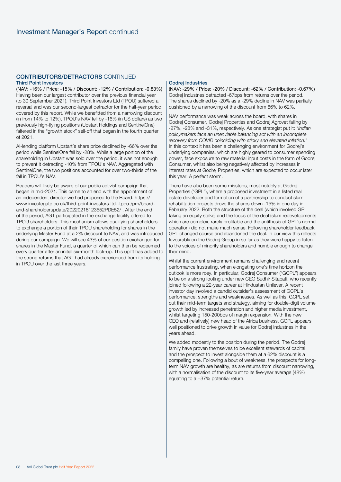# CONTRIBUTORS/DETRACTORS CONTINUED Third Point Investors

(NAV: -16% / Price: -15% / Discount: -12% / Contribution: -0.83%) Having been our largest contributor over the previous financial year (to 30 September 2021), Third Point Investors Ltd (TPOU) suffered a reversal and was our second-largest detractor for the half-year period covered by this report. While we benefitted from a narrowing discount (in from 14% to 12%), TPOU's NAV fell by -16% (in US dollars) as two previously high-flying positions (Upstart Holdings and SentinelOne) faltered in the "growth stock" sell-off that began in the fourth quarter of 2021.

AI-lending platform Upstart's share price declined by -66% over the period while SentinelOne fell by -28%. While a large portion of the shareholding in Upstart was sold over the period, it was not enough to prevent it detracting -10% from TPOU's NAV. Aggregated with SentinelOne, the two positions accounted for over two-thirds of the fall in TPOU's NAV.

Readers will likely be aware of our public activist campaign that began in mid-2021. This came to an end with the appointment of an independent director we had proposed to the Board: [https://](https://www.investegate.co.uk/third-point-investors-ltd--tpou-/prn/board-and-shareholderupdate/20220218123552PDE52/) [www.investegate.co.uk/third-point-investors-ltd--tpou-/prn/board](https://www.investegate.co.uk/third-point-investors-ltd--tpou-/prn/board-and-shareholderupdate/20220218123552PDE52/)[and-shareholderupdate/20220218123552PDE52/](https://www.investegate.co.uk/third-point-investors-ltd--tpou-/prn/board-and-shareholderupdate/20220218123552PDE52/) . After the end of the period, AGT participated in the exchange facility offered to TPOU shareholders. This mechanism allows qualifying shareholders to exchange a portion of their TPOU shareholding for shares in the underlying Master Fund at a 2% discount to NAV, and was introduced during our campaign. We will see 43% of our position exchanged for shares in the Master Fund, a quarter of which can then be redeemed every quarter after an initial six-month lock-up. This uplift has added to the strong returns that AGT had already experienced from its holding in TPOU over the last three years.

# Godrej Industries

(NAV: -29% / Price: -20% / Discount: -62% / Contribution: -0.67%) Godrej Industries detracted -67bps from returns over the period. The shares declined by -20% as a -29% decline in NAV was partially cushioned by a narrowing of the discount from 66% to 62%.

NAV performance was weak across the board, with shares in Godrej Consumer, Godrej Properties and Godrej Agrovet falling by -27%, -28% and -31%, respectively. As one strategist put it: "*Indian policymakers face an unenviable balancing act with an incomplete recovery from COVID coinciding with sticky and elevated inflation.*" In this context it has been a challenging environment for Godrej's underlying companies, which are highly geared to consumer spending power, face exposure to raw material input costs in the form of Godrej Consumer, whilst also being negatively affected by increases in interest rates at Godrej Properties, which are expected to occur later this year. A perfect storm.

There have also been some missteps, most notably at Godrej Properties ("GPL"), where a proposed investment in a listed real estate developer and formation of a partnership to conduct slum rehabilitation projects drove the shares down -15% in one day in February 2022. Both the structure of the deal (which involved GPL taking an equity stake) and the focus of the deal (slum redevelopments which are complex, rarely profitable and the antithesis of GPL's normal operation) did not make much sense. Following shareholder feedback GPL changed course and abandoned the deal. In our view this reflects favourably on the Godrej Group in so far as they were happy to listen to the voices of minority shareholders and humble enough to change their mind.

Whilst the current environment remains challenging and recent performance frustrating, when elongating one's time horizon the outlook is more rosy. In particular, Godrej Consumer ("GCPL") appears to be on a strong footing under new CEO Sudhir Sitapati, who recently joined following a 22-year career at Hindustan Unilever. A recent investor day involved a candid outsider's assessment of GCPL's performance, strengths and weaknesses. As well as this, GCPL set out their mid-term targets and strategy, aiming for double-digit volume growth led by increased penetration and higher media investment, whilst targeting 150-200bps of margin expansion. With the new CEO and (relatively) new head of the Africa business, GCPL appears well positioned to drive growth in value for Godrej Industries in the years ahead.

We added modestly to the position during the period. The Godrej family have proven themselves to be excellent stewards of capital and the prospect to invest alongside them at a 62% discount is a compelling one. Following a bout of weakness, the prospects for longterm NAV growth are healthy, as are returns from discount narrowing, with a normalisation of the discount to its five-year average (48%) equating to a +37% potential return.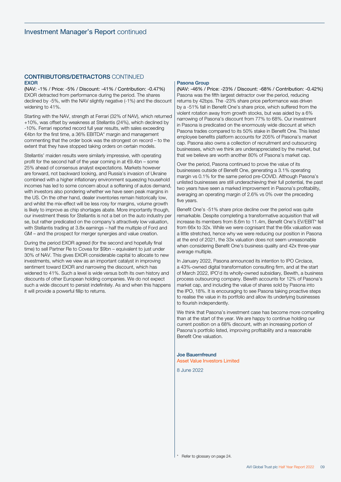# CONTRIBUTORS/DETRACTORS CONTINUED EXOR

(NAV: -1% / Price: -5% / Discount: -41% / Contribution: -0.47%) EXOR detracted from performance during the period. The shares declined by -5%, with the NAV slightly negative (-1%) and the discount widening to 41%.

Starting with the NAV, strength at Ferrari (32% of NAV), which returned +10%, was offset by weakness at Stellantis (24%), which declined by -10%. Ferrari reported record full year results, with sales exceeding €4bn for the first time, a 36% EBITDA\* margin and management commenting that the order book was the strongest on record – to the extent that they have stopped taking orders on certain models.

Stellantis' maiden results were similarly impressive, with operating profit for the second half of the year coming in at  $\epsilon$ 9.4bn – some 25% ahead of consensus analyst expectations. Markets however are forward, not backward looking, and Russia's invasion of Ukraine combined with a higher inflationary environment squeezing household incomes has led to some concern about a softening of autos demand, with investors also pondering whether we have seen peak margins in the US. On the other hand, dealer inventories remain historically low, and whilst the mix-effect will be less rosy for margins, volume growth is likely to improve as chip shortages abate. More importantly though, our investment thesis for Stellantis is not a bet on the auto industry per se, but rather predicated on the company's attractively low valuation, with Stellantis trading at 3.8x earnings – half the multiple of Ford and GM – and the prospect for merger synergies and value creation.

During the period EXOR agreed (for the second and hopefully final time) to sell Partner Re to Covea for \$9bn – equivalent to just under 30% of NAV. This gives EXOR considerable capital to allocate to new investments, which we view as an important catalyst in improving sentiment toward EXOR and narrowing the discount, which has widened to 41%. Such a level is wide versus both its own history and discounts of other European holding companies. We do not expect such a wide discount to persist indefinitely. As and when this happens it will provide a powerful fillip to returns.

# Pasona Group

(NAV: -46% / Price: -23% / Discount: -68% / Contribution: -0.42%) Pasona was the fifth largest detractor over the period, reducing returns by 42bps. The -23% share price performance was driven by a -51% fall in Benefit One's share price, which suffered from the violent rotation away from growth stocks, but was aided by a 6% narrowing of Pasona's discount from 77% to 68%. Our investment in Pasona is predicated on the enormously wide discount at which Pasona trades compared to its 50% stake in Benefit One. This listed employee benefits platform accounts for 205% of Pasona's market cap. Pasona also owns a collection of recruitment and outsourcing businesses, which we think are underappreciated by the market, but that we believe are worth another 80% of Pasona's market cap.

Over the period, Pasona continued to prove the value of its businesses outside of Benefit One, generating a 3.1% operating margin vs 0.1% for the same period pre-COVID. Although Pasona's unlisted businesses are still underachieving their full potential, the past two years have seen a marked improvement in Pasona's profitability, averaging an operating margin of 2.6% vs 0% over the preceding five years.

Benefit One's -51% share price decline over the period was quite remarkable. Despite completing a transformative acquisition that will increase its members from 8.6m to 11.4m, Benefit One's EV/EBIT\* fell from 66x to 32x. While we were cognisant that the 66x valuation was a little stretched, hence why we were reducing our position in Pasona at the end of 2021, the 33x valuation does not seem unreasonable when considering Benefit One's business quality and 42x three-year average multiple.

In January 2022, Pasona announced its intention to IPO Circlace, a 43%-owned digital transformation consulting firm, and at the start of March 2022, IPO'd its wholly-owned subsidiary, Bewith, a business process outsourcing company. Bewith accounts for 12% of Pasona's market cap, and including the value of shares sold by Pasona into the IPO, 18%. It is encouraging to see Pasona taking proactive steps to realise the value in its portfolio and allow its underlying businesses to flourish independently.

We think that Pasona's investment case has become more compelling than at the start of the year. We are happy to continue holding our current position on a 68% discount, with an increasing portion of Pasona's portfolio listed, improving profitability and a reasonable Benefit One valuation.

# Joe Bauernfreund

Asset Value Investors Limited

8 June 2022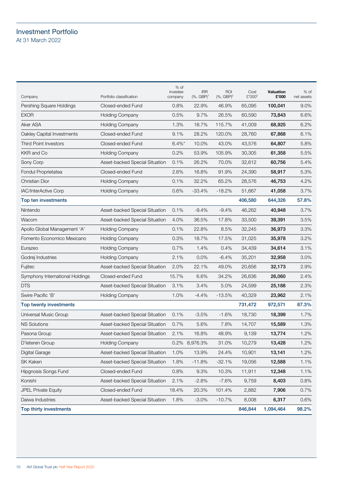# <span id="page-11-0"></span>Investment Portfolio At 31 March 2022

| Company                         | Portfolio classification       | $%$ of<br>investee<br>company | <b>IRR</b><br>$(% )^{(1)}$ (%, GBP) <sup>1</sup> | ROI<br>$(%, GBP)^2$ | Cost<br>£'0003 | Valuation<br>£'000 | $%$ of<br>net assets |
|---------------------------------|--------------------------------|-------------------------------|--------------------------------------------------|---------------------|----------------|--------------------|----------------------|
| Pershing Square Holdings        | Closed-ended Fund              | 0.8%                          | 22.9%                                            | 46.9%               | 65,095         | 100,041            | 9.0%                 |
| <b>EXOR</b>                     | <b>Holding Company</b>         | 0.5%                          | 9.7%                                             | 26.5%               | 60,590         | 73,843             | 6.6%                 |
| Aker ASA                        | Holding Company                | 1.3%                          | 18.7%                                            | 115.7%              | 41,009         | 68,925             | 6.2%                 |
| Oakley Capital Investments      | Closed-ended Fund              | 9.1%                          | 28.2%                                            | 120.0%              | 28,760         | 67,868             | 6.1%                 |
| <b>Third Point Investors</b>    | Closed-ended Fund              | $6.4\%$ *                     | 10.0%                                            | 43.0%               | 43,576         | 64,807             | 5.8%                 |
| KKR and Co                      | <b>Holding Company</b>         | 0.2%                          | 53.9%                                            | 105.9%              | 30,305         | 61,358             | 5.5%                 |
| Sony Corp                       | Asset-backed Special Situation | 0.1%                          | 26.2%                                            | 70.0%               | 32,612         | 60,756             | 5.4%                 |
| Fondul Proprietatea             | Closed-ended Fund              | 2.6%                          | 16.8%                                            | 91.9%               | 24,390         | 58,917             | 5.3%                 |
| <b>Christian Dior</b>           | <b>Holding Company</b>         | 0.1%                          | 32.2%                                            | 65.2%               | 28,576         | 46,753             | 4.2%                 |
| <b>IAC/InterActive Corp</b>     | <b>Holding Company</b>         | 0.6%                          | $-33.4%$                                         | $-18.2%$            | 51,667         | 41,058             | 3.7%                 |
| Top ten investments             |                                |                               |                                                  |                     | 406,580        | 644,326            | 57.8%                |
| Nintendo                        | Asset-backed Special Situation | 0.1%                          | $-9.4%$                                          | $-9.4%$             | 46,262         | 40,948             | 3.7%                 |
| Wacom                           | Asset-backed Special Situation | 4.0%                          | 36.5%                                            | 17.8%               | 33,500         | 39,391             | 3.5%                 |
| Apollo Global Management 'A'    | <b>Holding Company</b>         | 0.1%                          | 22.8%                                            | 8.5%                | 32,245         | 36,973             | 3.3%                 |
| Fomento Economico Mexicano      | <b>Holding Company</b>         | 0.3%                          | 18.7%                                            | 17.5%               | 31,025         | 35,978             | 3.2%                 |
| Eurazeo                         | <b>Holding Company</b>         | 0.7%                          | 1.4%                                             | 0.4%                | 34,439         | 34,614             | 3.1%                 |
| Godrej Industries               | <b>Holding Company</b>         | 2.1%                          | 0.0%                                             | $-6.4%$             | 35,201         | 32,958             | 3.0%                 |
| Fujitec                         | Asset-backed Special Situation | 2.0%                          | 22.1%                                            | 49.0%               | 20,656         | 32,173             | 2.9%                 |
| Symphony International Holdings | Closed-ended Fund              | 15.7%                         | 6.6%                                             | 34.2%               | 26,636         | 26,060             | 2.4%                 |
| <b>DTS</b>                      | Asset-backed Special Situation | 3.1%                          | $3.4\%$                                          | 5.0%                | 24,599         | 25,188             | 2.3%                 |
| Swire Pacific 'B'               | <b>Holding Company</b>         | 1.0%                          | $-4.4%$                                          | $-13.5%$            | 40,329         | 23,962             | 2.1%                 |
| Top twenty investments          |                                |                               |                                                  |                     | 731,472        | 972,571            | 87.3%                |
| Universal Music Group           | Asset-backed Special Situation | 0.1%                          | $-3.5%$                                          | $-1.6%$             | 18,730         | 18,399             | 1.7%                 |
| <b>NS Solutions</b>             | Asset-backed Special Situation | 0.7%                          | 5.6%                                             | 7.8%                | 14,707         | 15,589             | 1.3%                 |
| Pasona Group                    | Asset-backed Special Situation | 2.1%                          | 16.8%                                            | 48.9%               | 9,139          | 13,774             | 1.2%                 |
| D'Ieteren Group                 | <b>Holding Company</b>         |                               | 0.2% 8,976.3%                                    | 31.0%               | 10,279         | 13,428             | 1.2%                 |
| Digital Garage                  | Asset-backed Special Situation | 1.0%                          | 13.9%                                            | 24.4%               | 10,901         | 13,141             | 1.2%                 |
| SK Kaken                        | Asset-backed Special Situation | 1.8%                          | $-11.8%$                                         | $-32.1%$            | 19,056         | 12,588             | 1.1%                 |
| Hipgnosis Songs Fund            | Closed-ended Fund              | 0.8%                          | 9.3%                                             | 10.3%               | 11,911         | 12,348             | 1.1%                 |
| Konishi                         | Asset-backed Special Situation | 2.1%                          | $-2.8%$                                          | $-7.6%$             | 9,759          | 8,403              | 0.8%                 |
| <b>JPEL Private Equity</b>      | Closed-ended Fund              | 18.4%                         | 20.3%                                            | 101.4%              | 2,882          | 7,906              | 0.7%                 |
| Daiwa Industries                | Asset-backed Special Situation | 1.8%                          | $-3.0%$                                          | $-10.7%$            | 8,008          | 6,317              | 0.6%                 |
| Top thirty investments          |                                |                               |                                                  |                     | 846,844        | 1,094,464          | 98.2%                |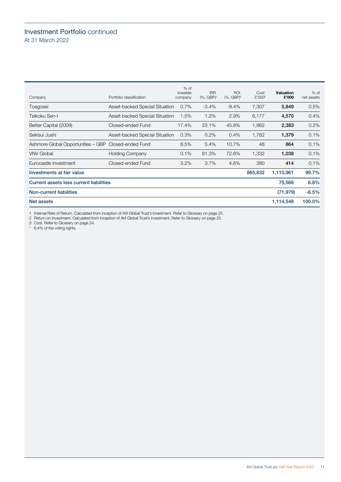# Investment Portfolio continued At 31 March 2022

| Company                                 | Portfolio classification       | $%$ of<br>investee<br>company | <b>IRR</b><br>$(% , GBP)^1$ | <b>ROI</b><br>$(% , GBP)^2$ | Cost<br>£'000 <sup>3</sup> | <b>Valuation</b><br>£'000 | $%$ of<br>net assets |
|-----------------------------------------|--------------------------------|-------------------------------|-----------------------------|-----------------------------|----------------------------|---------------------------|----------------------|
| Toagosei                                | Asset-backed Special Situation | $0.7\%$                       | $-3.4%$                     | $-9.4\%$                    | 7,307                      | 5,849                     | 0.5%                 |
| Teikoku Sen-l                           | Asset-backed Special Situation | 1.5%                          | 1.2%                        | 2.9%                        | 6,177                      | 4,570                     | $0.4\%$              |
| Better Capital (2009)                   | Closed-ended Fund              | 17.4%                         | 23.1%                       | 45.8%                       | 1,962                      | 2,383                     | 0.2%                 |
| Sekisui Jushi                           | Asset-backed Special Situation | 0.3%                          | 0.2%                        | 0.4%                        | 1,782                      | 1,379                     | 0.1%                 |
| Ashmore Global Opportunities - GBP      | Closed-ended Fund              | 8.5%                          | 5.4%                        | 10.7%                       | 48                         | 864                       | 0.1%                 |
| <b>VNV Global</b>                       | <b>Holding Company</b>         | 0.1%                          | 81.3%                       | 72.6%                       | 1,332                      | 1,038                     | 0.1%                 |
| Eurocastle Investment                   | Closed-ended Fund              | 3.2%                          | 3.7%                        | 4.6%                        | 380                        | 414                       | 0.1%                 |
| Investments at fair value               |                                |                               |                             |                             | 865,832                    | 1,110,961                 | 99.7%                |
| Current assets less current liabilities |                                |                               |                             |                             |                            | 75,566                    | 6.8%                 |
| <b>Non-current liabilities</b>          |                                |                               |                             |                             |                            | (71, 979)                 | $-6.5%$              |
| Net assets                              |                                |                               |                             |                             |                            | 1,114,548                 | 100.0%               |

1 Internal Rate of Return. Calculated from inception of AVI Global Trust's investment. Refer to Glossary on page [25.](#page-26-0)

2 Return on Investment. Calculated from inception of AVI Global Trust's investment. Refer to Glossary on page [25.](#page-26-0)

3 Cost. Refer to Glossary on page [24.](#page-25-0)

\* 6.4% of the voting rights.

AVI Global Trust plc Half Year Report 2022 11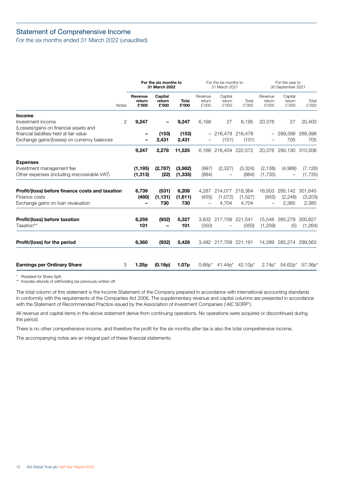# <span id="page-13-0"></span>Statement of Comprehensive Income

For the six months ended 31 March 2022 (unaudited)

|                                                                                                        |              |                            | For the six months to<br>31 March 2022 |                         |                            | For the six months to<br>31 March 2021    |                  |                            | For the year to<br>30 September 2021 |                     |
|--------------------------------------------------------------------------------------------------------|--------------|----------------------------|----------------------------------------|-------------------------|----------------------------|-------------------------------------------|------------------|----------------------------|--------------------------------------|---------------------|
|                                                                                                        | <b>Notes</b> | Revenue<br>return<br>£'000 | Capital<br>return<br>£'000             | Total<br>£'000          | Revenue<br>return<br>£'000 | Capital<br>return<br>£'000                | Total<br>£'000   | Revenue<br>return<br>£'000 | Capital<br>return<br>£'000           | Total<br>£'000      |
| <b>Income</b><br>Investment income                                                                     | 2            | 9,247                      |                                        | 9,247                   | 6,168                      | 27                                        | 6,195            | 20,376                     | 27                                   | 20,403              |
| (Losses)/gains on financial assets and                                                                 |              |                            |                                        |                         |                            |                                           |                  |                            |                                      |                     |
| financial liabilities held at fair value<br>Exchange gains/(losses) on currency balances               |              |                            | (153)<br>2,431                         | (153)<br>2,431          |                            | $-216,478216,478$<br>(101)                | (101)            | -                          | 289,398<br>705                       | 289,398<br>705      |
|                                                                                                        |              | 9,247                      | 2,278                                  | 11,525                  |                            | 6,168 216,404 222,572                     |                  |                            | 20,376 290,130 310,506               |                     |
| <b>Expenses</b><br>Investment management fee<br>Other expenses (including irrecoverable VAT)           |              | (1, 195)<br>(1, 313)       | (2,787)<br>(22)                        | (3,982)<br>(1, 335)     | (997)<br>(884)             | (2,327)                                   | (3,324)<br>(884) | (2, 138)<br>(1,735)        | (4,988)<br>$\overline{\phantom{m}}$  | (7, 126)<br>(1,735) |
| Profit/(loss) before finance costs and taxation<br>Finance costs<br>Exchange gains on loan revaluation |              | 6,739<br>(480)<br>-        | (531)<br>(1, 131)<br>730               | 6,208<br>(1,611)<br>730 | (455)                      | 4,287 214,077 218,364<br>(1,072)<br>4,704 | (1,527)<br>4,704 | 16,503<br>(955)            | 285,142 301,645<br>(2, 248)<br>2,385 | (3,203)<br>2,385    |
| Profit/(loss) before taxation<br>Taxation**                                                            |              | 6,259<br>101               | (932)<br>$\qquad \qquad$               | 5,327<br>101            | (350)                      | 3,832 217,709 221,541                     | (350)            | (1,259)                    | 15,548 285,279<br>(5)                | 300,827<br>(1,264)  |
| Profit/(loss) for the period                                                                           |              | 6,360                      | (932)                                  | 5,428                   |                            | 3,482 217,709 221,191                     |                  |                            | 14,289 285,274                       | 299,563             |
| <b>Earnings per Ordinary Share</b>                                                                     | 3            | 1.25p                      | (0.18p)                                | 1.07p                   | $0.66p*$                   | 41.44p*                                   | $42.10p*$        | $2.74p*$                   | $54.62p*$                            | $57.36p*$           |

Restated for Share Split.

\*\* Includes refunds of withholding tax previously written off.

The total column of this statement is the Income Statement of the Company prepared in accordance with international accounting standards in conformity with the requirements of the Companies Act 2006. The supplementary revenue and capital columns are presented in accordance with the Statement of Recommended Practice issued by the Association of Investment Companies ('AIC SORP').

All revenue and capital items in the above statement derive from continuing operations. No operations were acquired or discontinued during the period.

There is no other comprehensive income, and therefore the profit for the six months after tax is also the total comprehensive income.

The accompanying notes are an integral part of these financial statements.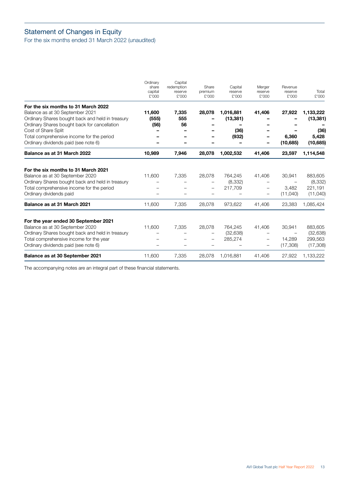# <span id="page-14-0"></span>Statement of Changes in Equity

For the six months ended 31 March 2022 (unaudited)

|                                                                     | Ordinary<br>share<br>capital<br>£'000 | Capital<br>redemption<br>reserve<br>£'000 | Share<br>premium<br>£'000 | Capital<br>reserve<br>£'000 | Merger<br>reserve<br>£'000 | Revenue<br>reserve<br>£'000 | Total<br>£'000 |
|---------------------------------------------------------------------|---------------------------------------|-------------------------------------------|---------------------------|-----------------------------|----------------------------|-----------------------------|----------------|
| For the six months to 31 March 2022                                 |                                       |                                           |                           |                             |                            |                             |                |
| Balance as at 30 September 2021                                     | 11,600                                | 7,335                                     | 28,078                    | 1,016,881                   | 41,406                     | 27,922                      | 1,133,222      |
| Ordinary Shares bought back and held in treasury                    | (555)                                 | 555<br>56                                 |                           | (13, 381)                   |                            |                             | (13, 381)      |
| Ordinary Shares bought back for cancellation<br>Cost of Share Split | (56)                                  |                                           |                           | (36)                        |                            |                             | (36)           |
| Total comprehensive income for the period                           |                                       |                                           |                           | (932)                       | -                          | 6,360                       | 5,428          |
| Ordinary dividends paid (see note 6)                                |                                       |                                           |                           |                             |                            | (10,685)                    | (10, 685)      |
| Balance as at 31 March 2022                                         | 10,989                                | 7,946                                     | 28,078                    | 1,002,532                   | 41,406                     | 23,597                      | 1,114,548      |
| For the six months to 31 March 2021                                 |                                       |                                           |                           |                             |                            |                             |                |
| Balance as at 30 September 2020                                     | 11,600                                | 7,335                                     | 28,078                    | 764,245                     | 41,406                     | 30,941                      | 883,605        |
| Ordinary Shares bought back and held in treasury                    |                                       |                                           |                           | (8,332)                     |                            |                             | (8,332)        |
| Total comprehensive income for the period                           |                                       |                                           |                           | 217,709                     | $\overline{\phantom{0}}$   | 3,482                       | 221,191        |
| Ordinary dividends paid                                             |                                       |                                           |                           |                             | -                          | (11,040)                    | (11,040)       |
| Balance as at 31 March 2021                                         | 11,600                                | 7,335                                     | 28,078                    | 973,622                     | 41,406                     | 23,383                      | 1,085,424      |
| For the year ended 30 September 2021                                |                                       |                                           |                           |                             |                            |                             |                |
| Balance as at 30 September 2020                                     | 11,600                                | 7,335                                     | 28,078                    | 764,245                     | 41,406                     | 30,941                      | 883,605        |
| Ordinary Shares bought back and held in treasury                    |                                       |                                           |                           | (32, 638)                   |                            |                             | (32, 638)      |
| Total comprehensive income for the year                             |                                       |                                           |                           | 285,274                     | $\qquad \qquad -$          | 14,289                      | 299,563        |
| Ordinary dividends paid (see note 6)                                |                                       |                                           |                           |                             |                            | (17,308)                    | (17,308)       |
| Balance as at 30 September 2021                                     | 11,600                                | 7,335                                     | 28,078                    | 1,016,881                   | 41,406                     | 27,922                      | 1,133,222      |

The accompanying notes are an integral part of these financial statements.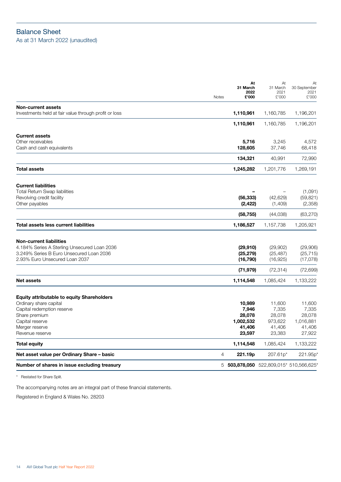# <span id="page-15-0"></span>Balance Sheet As at 31 March 2022 (unaudited)

| <b>Current assets</b>                                                                                                                                                              |                                                            |                                                          |                                                            |
|------------------------------------------------------------------------------------------------------------------------------------------------------------------------------------|------------------------------------------------------------|----------------------------------------------------------|------------------------------------------------------------|
| Other receivables<br>Cash and cash equivalents                                                                                                                                     | 5,716<br>128,605                                           | 3,245<br>37,746                                          | 4,572<br>68,418                                            |
|                                                                                                                                                                                    | 134,321                                                    | 40,991                                                   | 72,990                                                     |
| <b>Total assets</b>                                                                                                                                                                | 1,245,282                                                  | 1,201,776                                                | 1,269,191                                                  |
| <b>Current liabilities</b><br><b>Total Return Swap liabilities</b><br>Revolving credit facility<br>Other payables                                                                  | (56, 333)<br>(2, 422)                                      | (42, 629)<br>(1,409)                                     | (1,091)<br>(59, 821)<br>(2,358)                            |
|                                                                                                                                                                                    | (58, 755)                                                  | (44,038)                                                 | (63, 270)                                                  |
| Total assets less current liabilities                                                                                                                                              | 1,186,527                                                  | 1,157,738                                                | 1,205,921                                                  |
| <b>Non-current liabilities</b><br>4.184% Series A Sterling Unsecured Loan 2036<br>3.249% Series B Euro Unsecured Loan 2036<br>2.93% Euro Unsecured Loan 2037                       | (29, 910)<br>(25, 279)<br>(16, 790)<br>(71, 979)           | (29,902)<br>(25, 487)<br>(16,925)<br>(72, 314)           | (29,906)<br>(25, 715)<br>(17,078)<br>(72, 699)             |
| <b>Net assets</b>                                                                                                                                                                  | 1,114,548                                                  | 1,085,424                                                | 1,133,222                                                  |
| <b>Equity attributable to equity Shareholders</b><br>Ordinary share capital<br>Capital redemption reserve<br>Share premium<br>Capital reserve<br>Merger reserve<br>Revenue reserve | 10,989<br>7,946<br>28,078<br>1,002,532<br>41,406<br>23,597 | 11,600<br>7,335<br>28,078<br>973,622<br>41,406<br>23,383 | 11,600<br>7,335<br>28,078<br>1,016,881<br>41,406<br>27,922 |
| <b>Total equity</b>                                                                                                                                                                | 1,114,548                                                  | 1,085,424                                                | 1,133,222                                                  |
| Net asset value per Ordinary Share - basic<br>$\overline{4}$                                                                                                                       | 221.19p                                                    | 207.61p*                                                 | 221.95p                                                    |
| Number of shares in issue excluding treasury                                                                                                                                       |                                                            |                                                          | 5 503,878,050 522,809,015* 510,566,625*                    |

\* Restated for Share Split.

The accompanying notes are an integral part of these financial statements.

Registered in England & Wales No. 28203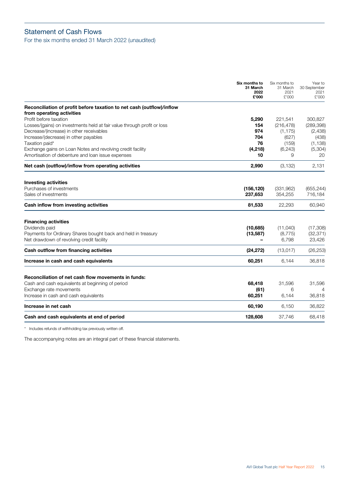# <span id="page-16-0"></span>Statement of Cash Flows

For the six months ended 31 March 2022 (unaudited)

|                                                                         | Six months to<br>31 March<br>2022<br>£'000 | Six months to<br>31 March<br>2021<br>£'000 | Year to<br>30 September<br>2021<br>£'000 |
|-------------------------------------------------------------------------|--------------------------------------------|--------------------------------------------|------------------------------------------|
| Reconciliation of profit before taxation to net cash (outflow)/inflow   |                                            |                                            |                                          |
| from operating activities                                               |                                            |                                            |                                          |
| Profit before taxation                                                  | 5,290                                      | 221,541                                    | 300,827                                  |
| Losses/(gains) on investments held at fair value through profit or loss | 154                                        | (216, 478)                                 | (289, 398)                               |
| Decrease/(increase) in other receivables                                | 974                                        | (1, 175)                                   | (2,438)                                  |
| Increase/(decrease) in other payables                                   | 704                                        | (627)                                      | (438)                                    |
| Taxation paid*                                                          | 76                                         | (159)                                      | (1, 138)                                 |
| Exchange gains on Loan Notes and revolving credit facility              | (4,218)                                    | (6, 243)                                   | (5,304)                                  |
| Amortisation of debenture and loan issue expenses                       | 10                                         | 9                                          | 20                                       |
| Net cash (outflow)/inflow from operating activities                     | 2,990                                      | (3, 132)                                   | 2,131                                    |
| <b>Investing activities</b>                                             |                                            |                                            |                                          |
| Purchases of investments                                                | (156, 120)                                 | (331, 962)                                 | (655, 244)                               |
| Sales of investments                                                    | 237,653                                    | 354,255                                    | 716,184                                  |
| Cash inflow from investing activities                                   | 81,533                                     | 22,293                                     | 60,940                                   |
| <b>Financing activities</b>                                             |                                            |                                            |                                          |
| Dividends paid                                                          | (10, 685)                                  | (11,040)                                   | (17,308)                                 |
| Payments for Ordinary Shares bought back and held in treasury           | (13, 587)                                  | (8, 775)                                   | (32, 371)                                |
| Net drawdown of revolving credit facility                               |                                            | 6,798                                      | 23,426                                   |
| Cash outflow from financing activities                                  | (24, 272)                                  | (13, 017)                                  | (26, 253)                                |
| Increase in cash and cash equivalents                                   | 60,251                                     | 6,144                                      | 36,818                                   |
| Reconciliation of net cash flow movements in funds:                     |                                            |                                            |                                          |
| Cash and cash equivalents at beginning of period                        | 68,418                                     | 31,596                                     | 31,596                                   |
| Exchange rate movements                                                 | (61)                                       | 6                                          | 4                                        |
| Increase in cash and cash equivalents                                   | 60,251                                     | 6,144                                      | 36,818                                   |
| Increase in net cash                                                    | 60,190                                     | 6,150                                      | 36,822                                   |
| Cash and cash equivalents at end of period                              | 128,608                                    | 37,746                                     | 68,418                                   |

\* Includes refunds of withholding tax previously written off.

The accompanying notes are an integral part of these financial statements.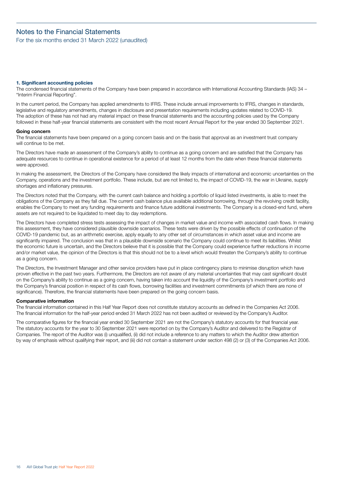# <span id="page-17-0"></span>Notes to the Financial Statements

For the six months ended 31 March 2022 (unaudited)

## **1. Significant accounting policies**

The condensed financial statements of the Company have been prepared in accordance with International Accounting Standards (IAS) 34 – "Interim Financial Reporting".

In the current period, the Company has applied amendments to IFRS. These include annual improvements to IFRS, changes in standards, legislative and regulatory amendments, changes in disclosure and presentation requirements including updates related to COVID-19. The adoption of these has not had any material impact on these financial statements and the accounting policies used by the Company followed in these half-year financial statements are consistent with the most recent Annual Report for the year ended 30 September 2021.

#### **Going concern**

The financial statements have been prepared on a going concern basis and on the basis that approval as an investment trust company will continue to be met.

The Directors have made an assessment of the Company's ability to continue as a going concern and are satisfied that the Company has adequate resources to continue in operational existence for a period of at least 12 months from the date when these financial statements were approved.

In making the assessment, the Directors of the Company have considered the likely impacts of international and economic uncertainties on the Company, operations and the investment portfolio. These include, but are not limited to, the impact of COVID-19, the war in Ukraine, supply shortages and inflationary pressures.

The Directors noted that the Company, with the current cash balance and holding a portfolio of liquid listed investments, is able to meet the obligations of the Company as they fall due. The current cash balance plus available additional borrowing, through the revolving credit facility, enables the Company to meet any funding requirements and finance future additional investments. The Company is a closed-end fund, where assets are not required to be liquidated to meet day to day redemptions.

The Directors have completed stress tests assessing the impact of changes in market value and income with associated cash flows. In making this assessment, they have considered plausible downside scenarios. These tests were driven by the possible effects of continuation of the COVID-19 pandemic but, as an arithmetic exercise, apply equally to any other set of circumstances in which asset value and income are significantly impaired. The conclusion was that in a plausible downside scenario the Company could continue to meet its liabilities. Whilst the economic future is uncertain, and the Directors believe that it is possible that the Company could experience further reductions in income and/or market value, the opinion of the Directors is that this should not be to a level which would threaten the Company's ability to continue as a going concern.

The Directors, the Investment Manager and other service providers have put in place contingency plans to minimise disruption which have proven effective in the past two years. Furthermore, the Directors are not aware of any material uncertainties that may cast significant doubt on the Company's ability to continue as a going concern, having taken into account the liquidity of the Company's investment portfolio and the Company's financial position in respect of its cash flows, borrowing facilities and investment commitments (of which there are none of significance). Therefore, the financial statements have been prepared on the going concern basis.

#### **Comparative information**

The financial information contained in this Half Year Report does not constitute statutory accounts as defined in the Companies Act 2006. The financial information for the half-year period ended 31 March 2022 has not been audited or reviewed by the Company's Auditor.

The comparative figures for the financial year ended 30 September 2021 are not the Company's statutory accounts for that financial year. The statutory accounts for the year to 30 September 2021 were reported on by the Company's Auditor and delivered to the Registrar of Companies. The report of the Auditor was (i) unqualified, (ii) did not include a reference to any matters to which the Auditor drew attention by way of emphasis without qualifying their report, and (iii) did not contain a statement under section 498 (2) or (3) of the Companies Act 2006.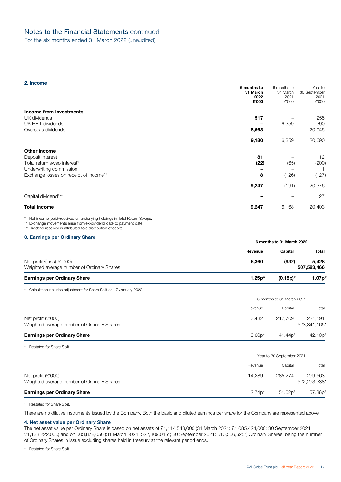<span id="page-18-0"></span>For the six months ended 31 March 2022 (unaudited)

## **2. Income**

|                                        | 6 months to<br>31 March<br>2022<br>£'000 | 6 months to<br>31 March<br>2021<br>£'000 | Year to<br>30 September<br>2021<br>£'000 |
|----------------------------------------|------------------------------------------|------------------------------------------|------------------------------------------|
| Income from investments                |                                          |                                          |                                          |
| UK dividends                           | 517                                      |                                          | 255                                      |
| UK REIT dividends                      |                                          | 6,359                                    | 390                                      |
| Overseas dividends                     | 8,663                                    |                                          | 20,045                                   |
|                                        | 9,180                                    | 6,359                                    | 20,690                                   |
| Other income                           |                                          |                                          |                                          |
| Deposit interest                       | 81                                       |                                          | 12                                       |
| Total return swap interest*            | (22)                                     | (65)                                     | (200)                                    |
| Underwriting commission                |                                          |                                          |                                          |
| Exchange losses on receipt of income** | 8                                        | (126)                                    | (127)                                    |
|                                        | 9,247                                    | (191)                                    | 20,376                                   |
| Capital dividend***                    |                                          |                                          | 27                                       |
| <b>Total income</b>                    | 9,247                                    | 6,168                                    | 20,403                                   |

\* Net income (paid)/received on underlying holdings in Total Return Swaps.

\*\* Exchange movements arise from ex-dividend date to payment date.

\*\*\* Dividend received is attributed to a distribution of capital.

# **3. Earnings per Ordinary Share**

| <b>U. Lammigo per Uramary Unare</b>        |          | 6 months to 31 March 2022 |          |  |
|--------------------------------------------|----------|---------------------------|----------|--|
|                                            | Revenue  | Capital                   | Total    |  |
| Net profit/(loss) $(E'000)$                | 6.360    | (932)                     | 5.428    |  |
| Weighted average number of Ordinary Shares |          | 507,583,466               |          |  |
| <b>Earnings per Ordinary Share</b>         | $1.25p*$ | $(0.18p)^*$               | $1.07p*$ |  |

\* Calculation includes adjustment for Share Split on 17 January 2022.

|                                                                    |          | 6 months to 31 March 2021 |                         |  |  |
|--------------------------------------------------------------------|----------|---------------------------|-------------------------|--|--|
|                                                                    | Revenue  | Capital                   | Total                   |  |  |
| Net profit $(E'000)$<br>Weighted average number of Ordinary Shares | 3.482    | 217.709                   | 221.191<br>523,341,165* |  |  |
| <b>Earnings per Ordinary Share</b>                                 | $0.66p*$ | $41.44p*$                 | 42.10p'                 |  |  |

\* Restated for Share Split.

|                                                                    | Year to 30 September 2021 |           |                         |  |
|--------------------------------------------------------------------|---------------------------|-----------|-------------------------|--|
|                                                                    | Revenue                   | Capital   | Total                   |  |
| Net profit $(E'000)$<br>Weighted average number of Ordinary Shares | 14.289                    | 285.274   | 299,563<br>522,293,338* |  |
| <b>Earnings per Ordinary Share</b>                                 | $2.74*$                   | $54.62p*$ | $57.36p*$               |  |

\* Restated for Share Split.

There are no dilutive instruments issued by the Company. Both the basic and diluted earnings per share for the Company are represented above.

## **4. Net asset value per Ordinary Share**

The net asset value per Ordinary Share is based on net assets of £1,114,548,000 (31 March 2021: £1,085,424,000; 30 September 2021:

£1,133,222,000) and on 503,878,050 (31 March 2021: 522,809,015\*; 30 September 2021: 510,566,625\*) Ordinary Shares, being the number of Ordinary Shares in issue excluding shares held in treasury at the relevant period ends.

\* Restated for Share Split.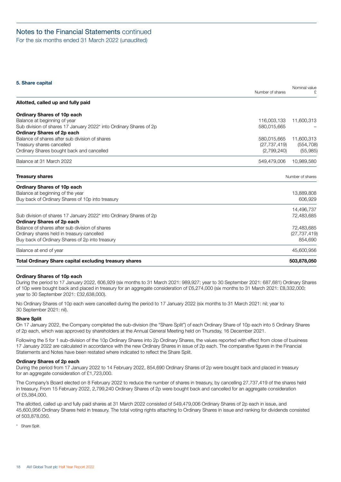<span id="page-19-0"></span>For the six months ended 31 March 2022 (unaudited)

# **5. Share capital**

|                                                                                | Number of shares | Nominal value    |
|--------------------------------------------------------------------------------|------------------|------------------|
| Allotted, called up and fully paid                                             |                  |                  |
| Ordinary Shares of 10p each                                                    |                  |                  |
| Balance at beginning of year                                                   | 116,003,133      | 11,600,313       |
| Sub division of shares 17 January 2022* into Ordinary Shares of 2p             | 580,015,665      |                  |
| <b>Ordinary Shares of 2p each</b>                                              |                  |                  |
| Balance of shares after sub division of shares                                 | 580,015,665      | 11,600,313       |
| Treasury shares cancelled                                                      | (27, 737, 419)   | (554, 708)       |
| Ordinary Shares bought back and cancelled                                      | (2,799,240)      | (55,985)         |
| Balance at 31 March 2022                                                       | 549,479,006      | 10,989,580       |
| <b>Treasury shares</b>                                                         |                  | Number of shares |
| Ordinary Shares of 10p each                                                    |                  |                  |
| Balance at beginning of the year                                               |                  | 13,889,808       |
| Buy back of Ordinary Shares of 10p into treasury                               |                  | 606,929          |
|                                                                                |                  | 14,496,737       |
| Sub division of shares 17 January 2022 <sup>*</sup> into Ordinary Shares of 2p |                  | 72,483,685       |
| Ordinary Shares of 2p each                                                     |                  |                  |
| Balance of shares after sub division of shares                                 |                  | 72,483,685       |
| Ordinary shares held in treasury cancelled                                     |                  | (27, 737, 419)   |
| Buy back of Ordinary Shares of 2p into treasury                                |                  | 854,690          |
| Balance at end of year                                                         |                  | 45,600,956       |
| <b>Total Ordinary Share capital excluding treasury shares</b>                  |                  | 503,878,050      |

# **Ordinary Shares of 10p each**

During the period to 17 January 2022, 606,929 (six months to 31 March 2021: 989,927; year to 30 September 2021: 687,681) Ordinary Shares of 10p were bought back and placed in treasury for an aggregate consideration of £6,274,000 (six months to 31 March 2021: £8,332,000; year to 30 September 2021: £32,638,000).

No Ordinary Shares of 10p each were cancelled during the period to 17 January 2022 (six months to 31 March 2021: nil; year to 30 September 2021: nil).

# **Share Split**

On 17 January 2022, the Company completed the sub-division (the "Share Split") of each Ordinary Share of 10p each into 5 Ordinary Shares of 2p each, which was approved by shareholders at the Annual General Meeting held on Thursday, 16 December 2021.

Following the 5 for 1 sub-division of the 10p Ordinary Shares into 2p Ordinary Shares, the values reported with effect from close of business 17 January 2022 are calculated in accordance with the new Ordinary Shares in issue of 2p each. The comparative figures in the Financial Statements and Notes have been restated where indicated to reflect the Share Split.

# **Ordinary Shares of 2p each**

During the period from 17 January 2022 to 14 February 2022, 854,690 Ordinary Shares of 2p were bought back and placed in treasury for an aggregate consideration of £1,723,000.

The Company's Board elected on 8 February 2022 to reduce the number of shares in treasury, by cancelling 27,737,419 of the shares held in treasury. From 15 February 2022, 2,799,240 Ordinary Shares of 2p were bought back and cancelled for an aggregate consideration of £5,384,000.

The allotted, called up and fully paid shares at 31 March 2022 consisted of 549,479,006 Ordinary Shares of 2p each in issue, and 45,600,956 Ordinary Shares held in treasury. The total voting rights attaching to Ordinary Shares in issue and ranking for dividends consisted of 503,878,050.

\* Share Split.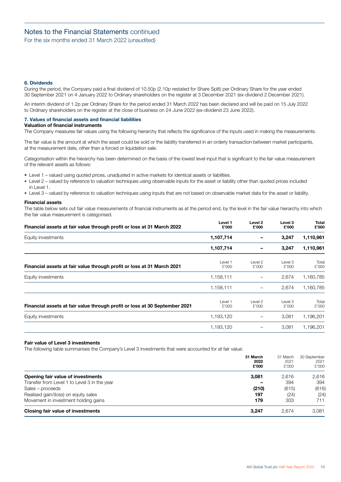<span id="page-20-0"></span>For the six months ended 31 March 2022 (unaudited)

# **6. Dividends**

During the period, the Company paid a final dividend of 10.50p (2.10p restated for Share Split) per Ordinary Share for the year ended 30 September 2021 on 4 January 2022 to Ordinary shareholders on the register at 3 December 2021 (ex-dividend 2 December 2021).

An interim dividend of 1.2p per Ordinary Share for the period ended 31 March 2022 has been declared and will be paid on 15 July 2022 to Ordinary shareholders on the register at the close of business on 24 June 2022 (ex-dividend 23 June 2022).

# **7. Values of financial assets and financial liabilities**

# **Valuation of financial instruments**

The Company measures fair values using the following hierarchy that reflects the significance of the inputs used in making the measurements.

The fair value is the amount at which the asset could be sold or the liability transferred in an orderly transaction between market participants, at the measurement date, other than a forced or liquidation sale.

Categorisation within the hierarchy has been determined on the basis of the lowest level input that is significant to the fair value measurement of the relevant assets as follows:

- Level 1 valued using quoted prices, unadjusted in active markets for identical assets or liabilities.
- Level 2 valued by reference to valuation techniques using observable inputs for the asset or liability other than quoted prices included  $in$  Level 1.
- Level 3 valued by reference to valuation techniques using inputs that are not based on observable market data for the asset or liability.

## **Financial assets**

The table below sets out fair value measurements of financial instruments as at the period end, by the level in the fair value hierarchy into which the fair value measurement is categorised.

| Financial assets at fair value through profit or loss at 31 March 2022     | Level 1<br>£'000 | Level 2<br>£'000 | Level 3<br>£'000 | Total<br>£'000 |
|----------------------------------------------------------------------------|------------------|------------------|------------------|----------------|
| Equity investments                                                         | 1,107,714        |                  | 3,247            | 1,110,961      |
|                                                                            | 1,107,714        |                  | 3,247            | 1,110,961      |
| Financial assets at fair value through profit or loss at 31 March 2021     | Level 1<br>£'000 | Level 2<br>£'000 | Level 3<br>£'000 | Total<br>£'000 |
| Equity investments<br>1,158,111                                            | 2,674            | 1,160,785        |                  |                |
|                                                                            | 1,158,111        |                  | 2,674            | 1,160,785      |
| Financial assets at fair value through profit or loss at 30 September 2021 | Level 1<br>£'000 | Level 2<br>£'000 | Level 3<br>£'000 | Total<br>£'000 |
| Equity investments                                                         | 1,193,120        |                  | 3,081            | 1,196,201      |
|                                                                            | 1,193,120        |                  | 3,081            | 1,196,201      |

## **Fair value of Level 3 investments**

The following table summarises the Company's Level 3 investments that were accounted for at fair value:

|                                              | 31 March<br>2022<br>£'000 | 31 March<br>2021<br>£'000 | 30 September<br>2021<br>£'000 |
|----------------------------------------------|---------------------------|---------------------------|-------------------------------|
| Opening fair value of investments            | 3,081                     | 2.616                     | 2,616                         |
| Transfer from Level 1 to Level 3 in the year |                           | 394                       | 394                           |
| Sales – proceeds                             | (210)                     | (615)                     | (616)                         |
| Realised gain/(loss) on equity sales         | 197                       | (24)                      | (24)                          |
| Movement in investment holding gains         | 179                       | 303                       | 711                           |
| Closing fair value of investments            | 3.247                     | 2.674                     | 3,081                         |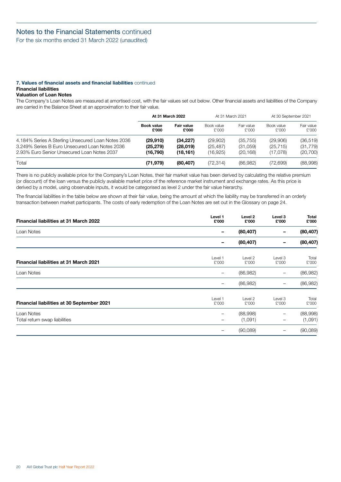For the six months ended 31 March 2022 (unaudited)

## **7. Values of financial assets and financial liabilities** continued **Financial liabilities**

# **Valuation of Loan Notes**

The Company's Loan Notes are measured at amortised cost, with the fair values set out below. Other financial assets and liabilities of the Company are carried in the Balance Sheet at an approximation to their fair value.

|                                                    | At 31 March 2022           |                     | At 31 March 2021    |                     | At 30 September 2021 |                     |
|----------------------------------------------------|----------------------------|---------------------|---------------------|---------------------|----------------------|---------------------|
|                                                    | <b>Book value</b><br>£'000 | Fair value<br>£'000 | Book value<br>£'000 | Fair value<br>£'000 | Book value<br>£'000  | Fair value<br>£'000 |
| 4.184% Series A Sterling Unsecured Loan Notes 2036 | (29, 910)                  | (34, 227)           | (29,902)            | (35, 755)           | (29,906)             | (36, 519)           |
| 3.249% Series B Euro Unsecured Loan Notes 2036     | (25, 279)                  | (28,019)            | (25, 487)           | (31,059)            | (25, 715)            | (31, 779)           |
| 2.93% Euro Senior Unsecured Loan Notes 2037        | (16.790)                   | (18, 161)           | (16,925)            | (20, 168)           | (17.078)             | (20, 700)           |
| Total                                              | (71, 979)                  | (80, 407)           | (72.314)            | (86,982)            | (72, 699)            | (88,998)            |

There is no publicly available price for the Company's Loan Notes, their fair market value has been derived by calculating the relative premium (or discount) of the loan versus the publicly available market price of the reference market instrument and exchange rates. As this price is derived by a model, using observable inputs, it would be categorised as level 2 under the fair value hierarchy.

The financial liabilities in the table below are shown at their fair value, being the amount at which the liability may be transferred in an orderly transaction between market participants. The costs of early redemption of the Loan Notes are set out in the Glossary on page [24](#page-25-0).

| <b>Financial liabilities at 31 March 2022</b> | Level 1<br>£'000  | Level 2<br>£'000    | Level 3<br>£'000         | Total<br>£'000      |
|-----------------------------------------------|-------------------|---------------------|--------------------------|---------------------|
| Loan Notes                                    |                   | (80, 407)           |                          | (80, 407)           |
|                                               |                   | (80, 407)           |                          | (80, 407)           |
| <b>Financial liabilities at 31 March 2021</b> | Level 1<br>£'000  | Level 2<br>£'000    | Level 3<br>£'000         | Total<br>£'000      |
| Loan Notes                                    |                   | (86,982)            | $\overline{\phantom{0}}$ | (86, 982)           |
|                                               |                   | (86,982)            | —                        | (86, 982)           |
| Financial liabilities at 30 September 2021    | Level 1<br>£'000  | Level 2<br>£'000    | Level 3<br>£'000         | Total<br>£'000      |
| Loan Notes<br>Total return swap liabilities   | $\qquad \qquad -$ | (88,998)<br>(1,091) | $\qquad \qquad -$        | (88,998)<br>(1,091) |
|                                               |                   | (90,089)            |                          | (90,089)            |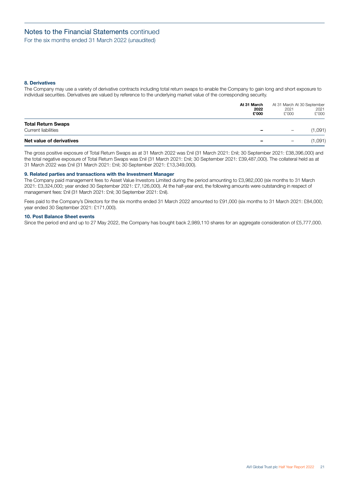For the six months ended 31 March 2022 (unaudited)

## **8. Derivatives**

The Company may use a variety of derivative contracts including total return swaps to enable the Company to gain long and short exposure to individual securities. Derivatives are valued by reference to the underlying market value of the corresponding security.

|                                                  | At 31 March<br>2022<br>£'000 | At 31 March At 30 September<br>2021<br>£'000 | 2021<br>£'000 |
|--------------------------------------------------|------------------------------|----------------------------------------------|---------------|
| <b>Total Return Swaps</b><br>Current liabilities |                              | -                                            | (1,091)       |
| Net value of derivatives                         |                              | $\overline{\phantom{0}}$                     | (1,091)       |

The gross positive exposure of Total Return Swaps as at 31 March 2022 was £nil (31 March 2021: £nil; 30 September 2021: £38,396,000) and the total negative exposure of Total Return Swaps was £nil (31 March 2021: £nil; 30 September 2021: £39,487,000). The collateral held as at 31 March 2022 was £nil (31 March 2021: £nil; 30 September 2021: £13,349,000).

#### **9. Related parties and transactions with the Investment Manager**

The Company paid management fees to Asset Value Investors Limited during the period amounting to £3,982,000 (six months to 31 March 2021: £3,324,000; year ended 30 September 2021: £7,126,000). At the half-year end, the following amounts were outstanding in respect of management fees: £nil (31 March 2021: £nil; 30 September 2021: £nil).

Fees paid to the Company's Directors for the six months ended 31 March 2022 amounted to £91,000 (six months to 31 March 2021: £84,000; year ended 30 September 2021: £171,000).

## **10. Post Balance Sheet events**

Since the period end and up to 27 May 2022, the Company has bought back 2,989,110 shares for an aggregate consideration of £5,777,000.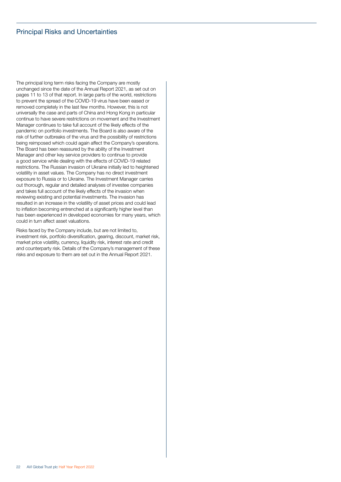# <span id="page-23-0"></span>Principal Risks and Uncertainties

The principal long term risks facing the Company are mostly unchanged since the date of the Annual Report 2021, as set out on pages 11 to 13 of that report. In large parts of the world, restrictions to prevent the spread of the COVID-19 virus have been eased or removed completely in the last few months. However, this is not universally the case and parts of China and Hong Kong in particular continue to have severe restrictions on movement and the Investment Manager continues to take full account of the likely effects of the pandemic on portfolio investments. The Board is also aware of the risk of further outbreaks of the virus and the possibility of restrictions being reimposed which could again affect the Company's operations. The Board has been reassured by the ability of the Investment Manager and other key service providers to continue to provide a good service while dealing with the effects of COVID-19 related restrictions. The Russian invasion of Ukraine initially led to heightened volatility in asset values. The Company has no direct investment exposure to Russia or to Ukraine. The Investment Manager carries out thorough, regular and detailed analyses of investee companies and takes full account of the likely effects of the invasion when reviewing existing and potential investments. The invasion has resulted in an increase in the volatility of asset prices and could lead to inflation becoming entrenched at a significantly higher level than has been experienced in developed economies for many years, which could in turn affect asset valuations.

Risks faced by the Company include, but are not limited to, investment risk, portfolio diversification, gearing, discount, market risk, market price volatility, currency, liquidity risk, interest rate and credit and counterparty risk. Details of the Company's management of these risks and exposure to them are set out in the Annual Report 2021.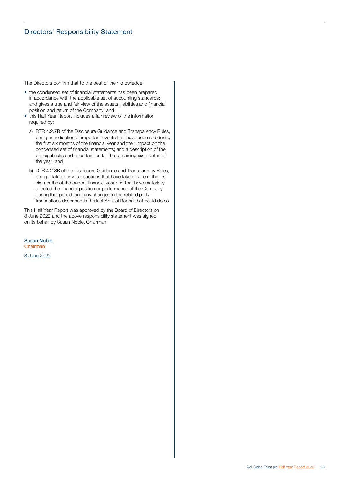# <span id="page-24-0"></span>Directors' Responsibility Statement

The Directors confirm that to the best of their knowledge:

- the condensed set of financial statements has been prepared in accordance with the applicable set of accounting standards; and gives a true and fair view of the assets, liabilities and financial position and return of the Company; and
- this Half Year Report includes a fair review of the information required by:
	- a) DTR 4.2.7R of the Disclosure Guidance and Transparency Rules, being an indication of important events that have occurred during the first six months of the financial year and their impact on the condensed set of financial statements; and a description of the principal risks and uncertainties for the remaining six months of the year; and
	- b) DTR 4.2.8R of the Disclosure Guidance and Transparency Rules, being related party transactions that have taken place in the first six months of the current financial year and that have materially affected the financial position or performance of the Company during that period; and any changes in the related party transactions described in the last Annual Report that could do so.

This Half Year Report was approved by the Board of Directors on 8 June 2022 and the above responsibility statement was signed on its behalf by Susan Noble, Chairman.

Susan Noble Chairman

8 June 2022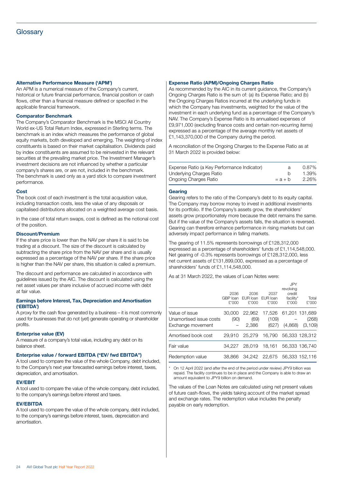### <span id="page-25-0"></span>**Alternative Performance Measure ('APM')**

An APM is a numerical measure of the Company's current, historical or future financial performance, financial position or cash flows, other than a financial measure defined or specified in the applicable financial framework.

## **Comparator Benchmark**

The Company's Comparator Benchmark is the MSCI All Country World ex-US Total Return Index, expressed in Sterling terms. The benchmark is an index which measures the performance of global equity markets, both developed and emerging. The weighting of index constituents is based on their market capitalisation. Dividends paid by index constituents are assumed to be reinvested in the relevant securities at the prevailing market price. The Investment Manager's investment decisions are not influenced by whether a particular company's shares are, or are not, included in the benchmark. The benchmark is used only as a yard stick to compare investment performance.

### **Cost**

The book cost of each investment is the total acquisition value, including transaction costs, less the value of any disposals or capitalised distributions allocated on a weighted average cost basis.

In the case of total return swaps, cost is defined as the notional cost of the position.

#### **Discount/Premium**

If the share price is lower than the NAV per share it is said to be trading at a discount. The size of the discount is calculated by subtracting the share price from the NAV per share and is usually expressed as a percentage of the NAV per share. If the share price is higher than the NAV per share, this situation is called a premium.

The discount and performance are calculated in accordance with guidelines issued by the AIC. The discount is calculated using the net asset values per share inclusive of accrued income with debt at fair value.

#### **Earnings before Interest, Tax, Depreciation and Amortisation ('EBITDA')**

A proxy for the cash flow generated by a business – it is most commonly used for businesses that do not (yet) generate operating or shareholder profits.

### **Enterprise value (EV)**

A measure of a company's total value, including any debt on its balance sheet.

# **Enterprise value / forward EBITDA ("EV/ fwd EBITDA")**

A tool used to compare the value of the whole Company, debt included, to the Company's next year forecasted earnings before interest, taxes, depreciation, and amortisation.

#### **EV/EBIT**

A tool used to compare the value of the whole company, debt included, to the company's earnings before interest and taxes.

#### **EV/EBITDA**

A tool used to compare the value of the whole company, debt included, to the company's earnings before interest, taxes, depreciation and amortisation.

#### **Expense Ratio (APM)/Ongoing Charges Ratio**

As recommended by the AIC in its current guidance, the Company's Ongoing Charges Ratio is the sum of: (a) its Expense Ratio; and (b) the Ongoing Charges Ratios incurred at the underlying funds in which the Company has investments, weighted for the value of the investment in each underlying fund as a percentage of the Company's NAV. The Company's Expense Ratio is its annualised expenses of £9,971,000 (excluding finance costs and certain non-recurring items) expressed as a percentage of the average monthly net assets of £1,143,370,000 of the Company during the period.

A reconciliation of the Ongoing Charges to the Expense Ratio as at 31 March 2022 is provided below:

| Expense Ratio (a Key Performance Indicator) | a         | $0.87\%$ |
|---------------------------------------------|-----------|----------|
| Underlying Charges Ratio                    |           | 1.39%    |
| Ongoing Charges Ratio                       | $= a + b$ | 2.26%    |

#### **Gearing**

Gearing refers to the ratio of the Company's debt to its equity capital. The Company may borrow money to invest in additional investments for its portfolio. If the Company's assets grow, the shareholders' assets grow proportionately more because the debt remains the same. But if the value of the Company's assets falls, the situation is reversed. Gearing can therefore enhance performance in rising markets but can adversely impact performance in falling markets.

The gearing of 11.5% represents borrowings of £128,312,000 expressed as a percentage of shareholders' funds of £1,114,548,000. Net gearing of -0.3% represents borrowings of £128,312,000, less net current assets of £131,899,000, expressed as a percentage of shareholders' funds of £1,114,548,000.

As at 31 March 2022, the values of Loan Notes were:

|                                                                | 2036<br>GBP loan<br>£'000 | 2036<br>EUR loan<br>f'000 | 2037<br>EUR Ioan<br>£'000 | <b>JPY</b><br>revolving<br>credit<br>facility*<br>£'000 | Total<br>£'000                     |
|----------------------------------------------------------------|---------------------------|---------------------------|---------------------------|---------------------------------------------------------|------------------------------------|
| Value of issue<br>Unamortised issue costs<br>Exchange movement | 30,000<br>(90)            | 22.962<br>(69)<br>2,386   | 17.526<br>(109)<br>(627)  | (4.868)                                                 | 61.201 131.689<br>(268)<br>(3.109) |
| Amortised book cost                                            | 29.910                    | 25,279                    | 16.790                    |                                                         | 56.333 128.312                     |
| Fair value                                                     | 34.227                    | 28,019                    | 18.161                    |                                                         | 56,333 136,740                     |
| Redemption value                                               | 38.866                    | 34.242                    | 22.675                    |                                                         | 56.333 152.116                     |

On 12 April 2022 (and after the end of the period under review) JPY9 billion was repaid. The facility continues to be in place and the Company is able to draw an amount equivalent to JPY9 billion on demand.

The values of the Loan Notes are calculated using net present values of future cash-flows, the yields taking account of the market spread and exchange rates. The redemption value includes the penalty payable on early redemption.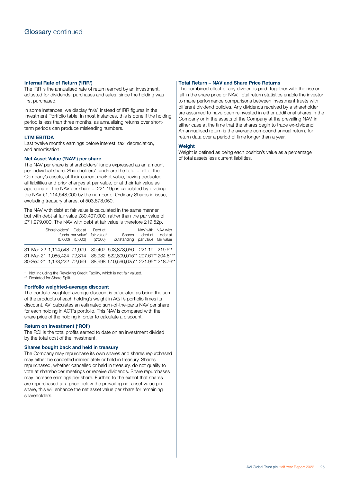# <span id="page-26-0"></span>**Internal Rate of Return ('IRR')**

The IRR is the annualised rate of return earned by an investment, adjusted for dividends, purchases and sales, since the holding was first purchased.

In some instances, we display "n/a" instead of IRR figures in the Investment Portfolio table. In most instances, this is done if the holding period is less than three months, as annualising returns over shortterm periods can produce misleading numbers.

# **LTM EBITDA**

Last twelve months earnings before interest, tax, depreciation, and amortisation.

## **Net Asset Value ('NAV') per share**

The NAV per share is shareholders' funds expressed as an amount per individual share. Shareholders' funds are the total of all of the Company's assets, at their current market value, having deducted all liabilities and prior charges at par value, or at their fair value as appropriate. The NAV per share of 221.19p is calculated by dividing the NAV £1,114,548,000 by the number of Ordinary Shares in issue, excluding treasury shares, of 503,878,050.

The NAV with debt at fair value is calculated in the same manner but with debt at fair value £80,407,000, rather than the par value of £71,979,000. The NAV with debt at fair value is therefore 219.52p.

| Shareholders' Debt at      | funds par value* fair value*<br>$(E'000)$ $(E'000)$ $(E'000)$ | Debt at | <b>Shares</b><br>outstanding par value fair value                 | NAV with NAV with<br>debt at odebt at |  |
|----------------------------|---------------------------------------------------------------|---------|-------------------------------------------------------------------|---------------------------------------|--|
|                            |                                                               |         | 31-Mar-22 1,114,548 71,979 80,407 503,878,050 221.19 219.52       |                                       |  |
| 31-Mar-21 1.085.424 72.314 |                                                               |         | 86.982 522.809.015** 207.61** 204.81**                            |                                       |  |
|                            |                                                               |         | 30-Sep-21 1,133,222 72,699 88,998 510,566,625** 221.95** 218.76** |                                       |  |

Not including the Revolving Credit Facility, which is not fair valued. \*\* Restated for Share Split.

# **Portfolio weighted-average discount**

The portfolio weighted-average discount is calculated as being the sum of the products of each holding's weight in AGT's portfolio times its discount. AVI calculates an estimated sum-of-the-parts NAV per share for each holding in AGT's portfolio. This NAV is compared with the share price of the holding in order to calculate a discount.

# **Return on Investment ('ROI')**

The ROI is the total profits earned to date on an investment divided by the total cost of the investment.

# **Shares bought back and held in treasury**

The Company may repurchase its own shares and shares repurchased may either be cancelled immediately or held in treasury. Shares repurchased, whether cancelled or held in treasury, do not qualify to vote at shareholder meetings or receive dividends. Share repurchases may increase earnings per share. Further, to the extent that shares are repurchased at a price below the prevailing net asset value per share, this will enhance the net asset value per share for remaining shareholders.

# **Total Return – NAV and Share Price Returns**

The combined effect of any dividends paid, together with the rise or fall in the share price or NAV. Total return statistics enable the investor to make performance comparisons between investment trusts with different dividend policies. Any dividends received by a shareholder are assumed to have been reinvested in either additional shares in the Company or in the assets of the Company at the prevailing NAV, in either case at the time that the shares begin to trade ex-dividend. An annualised return is the average compound annual return, for return data over a period of time longer than a year.

### **Weight**

Weight is defined as being each position's value as a percentage of total assets less current liabilities.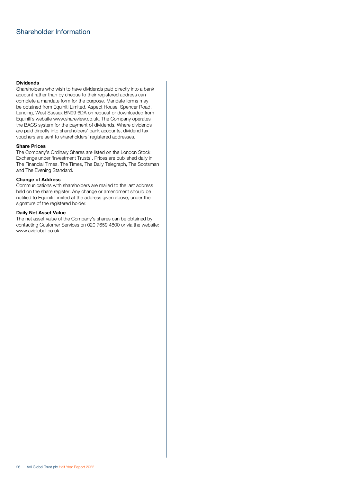# <span id="page-27-0"></span>Shareholder Information

# **Dividends**

Shareholders who wish to have dividends paid directly into a bank account rather than by cheque to their registered address can complete a mandate form for the purpose. Mandate forms may be obtained from Equiniti Limited, Aspect House, Spencer Road, Lancing, West Sussex BN99 6DA on request or downloaded from Equiniti's website [www.shareview.co.uk](http://www.shareview.co.uk). The Company operates the BACS system for the payment of dividends. Where dividends are paid directly into shareholders' bank accounts, dividend tax vouchers are sent to shareholders' registered addresses.

### **Share Prices**

The Company's Ordinary Shares are listed on the London Stock Exchange under 'Investment Trusts'. Prices are published daily in The Financial Times, The Times, The Daily Telegraph, The Scotsman and The Evening Standard.

## **Change of Address**

Communications with shareholders are mailed to the last address held on the share register. Any change or amendment should be notified to Equiniti Limited at the address given above, under the signature of the registered holder.

#### **Daily Net Asset Value**

The net asset value of the Company's shares can be obtained by contacting Customer Services on 020 7659 4800 or via the website: [www.aviglobal.co.uk.](http://www.aviglobal.co.uk)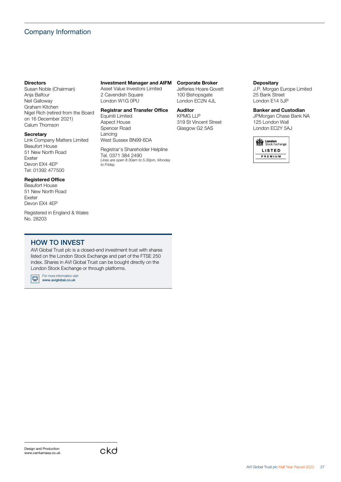# <span id="page-28-0"></span>Company Information

## **Directors**

Susan Noble (Chairman) Anja Balfour Neil Galloway Graham Kitchen Nigel Rich (retired from the Board on 16 December 2021) Calum Thomson

### **Secretary**

Link Company Matters Limited Beaufort House 51 New North Road Exeter Devon EX4 4EP Tel: 01392 477500

# **Registered Office**

Beaufort House 51 New North Road Exeter Devon EX4 4EP

Registered in England & Wales No. 28203

# **Investment Manager and AIFM**

Asset Value Investors Limited 2 Cavendish Square London W1G 0PU

# **Registrar and Transfer Office**

Equiniti Limited Aspect House Spencer Road Lancing West Sussex BN99 6DA

Registrar's Shareholder Helpline Tel. 0371 384 2490 *Lines are open 8.30am to 5.30pm, Monday to Friday.*

# **Corporate Broker**

Jefferies Hoare Govett 100 Bishopsgate London EC2N 4JL

**Auditor** KPMG LLP 319 St Vincent Street Glasgow G2 5AS

# **Depositary**

J.P. Morgan Europe Limited 25 Bank Street London E14 5JP

# **Banker and Custodian**

JPMorgan Chase Bank NA 125 London Wall London EC2Y 5AJ



# HOW TO INVEST

AVI Global Trust plc is a closed-end investment trust with shares listed on the London Stock Exchange and part of the FTSE 250 index. Shares in AVI Global Trust can be bought directly on the London Stock Exchange or through platforms.

For more information visit:<br>**[www.aviglobal.co.uk](http://www.aviglobal.co.uk)** IQ